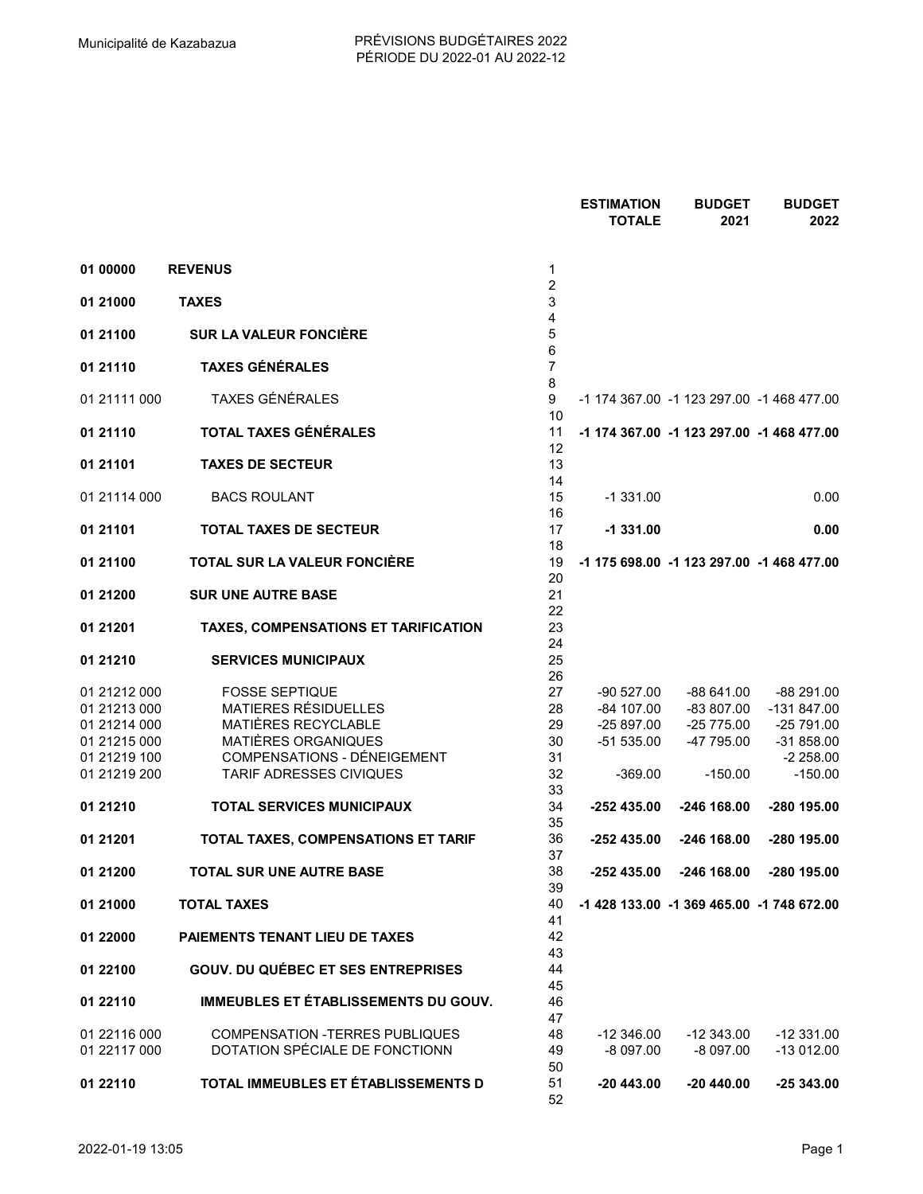|              |                                           |                     | <b>ESTIMATION</b><br><b>TOTALE</b> | <b>BUDGET</b><br>2021                     | <b>BUDGET</b><br>2022 |
|--------------|-------------------------------------------|---------------------|------------------------------------|-------------------------------------------|-----------------------|
|              |                                           |                     |                                    |                                           |                       |
| 01 00000     | <b>REVENUS</b>                            | 1                   |                                    |                                           |                       |
| 01 21000     | <b>TAXES</b>                              | $\overline{c}$<br>3 |                                    |                                           |                       |
| 01 21100     | <b>SUR LA VALEUR FONCIÈRE</b>             | 4<br>5              |                                    |                                           |                       |
| 01 21110     | <b>TAXES GÉNÉRALES</b>                    | 6<br>$\overline{7}$ |                                    |                                           |                       |
| 01 21111 000 | TAXES GÉNÉRALES                           | 8<br>9<br>10        |                                    | -1 174 367.00 -1 123 297.00 -1 468 477.00 |                       |
| 01 21110     | TOTAL TAXES GÉNÉRALES                     | 11<br>12            |                                    | -1 174 367.00 -1 123 297.00 -1 468 477.00 |                       |
| 01 21101     | <b>TAXES DE SECTEUR</b>                   | 13<br>14            |                                    |                                           |                       |
| 01 21114 000 | <b>BACS ROULANT</b>                       | 15<br>16            | $-1331.00$                         |                                           | 0.00                  |
| 01 21101     | <b>TOTAL TAXES DE SECTEUR</b>             | 17<br>18            | $-1331.00$                         |                                           | 0.00                  |
| 01 21100     | TOTAL SUR LA VALEUR FONCIÈRE              | 19<br>20            |                                    | -1 175 698.00 -1 123 297.00 -1 468 477.00 |                       |
| 01 21 200    | <b>SUR UNE AUTRE BASE</b>                 | 21<br>22            |                                    |                                           |                       |
| 01 21 201    | TAXES, COMPENSATIONS ET TARIFICATION      | 23<br>24            |                                    |                                           |                       |
| 01 21 21 0   | <b>SERVICES MUNICIPAUX</b>                | 25<br>26            |                                    |                                           |                       |
| 01 21212 000 | <b>FOSSE SEPTIQUE</b>                     | 27                  | -90 527.00                         | -88 641.00                                | -88 291.00            |
| 01 21213 000 | MATIERES RÉSIDUELLES                      | 28                  | -84 107.00                         | -83 807.00                                | -131 847.00           |
| 01 21214 000 | MATIÈRES RECYCLABLE                       | 29                  | $-25897.00$                        | $-25775.00$                               | -25 791.00            |
| 01 21215 000 | MATIÈRES ORGANIQUES                       |                     |                                    |                                           |                       |
|              |                                           | 30                  | $-51535.00$                        | -47 795.00                                | $-31858.00$           |
| 01 21219 100 | COMPENSATIONS - DÉNEIGEMENT               | 31                  |                                    |                                           | $-2258.00$            |
| 01 21219 200 | TARIF ADRESSES CIVIQUES                   | 32<br>33            | $-369.00$                          | $-150.00$                                 | $-150.00$             |
| 01 21 21 0   | <b>TOTAL SERVICES MUNICIPAUX</b>          | 34<br>35            | -252 435.00                        | -246 168.00                               | -280 195.00           |
| 01 21 201    | TOTAL TAXES, COMPENSATIONS ET TARIF       | 36<br>37            | -252 435.00                        | -246 168.00                               | -280 195.00           |
| 01 21 200    | TOTAL SUR UNE AUTRE BASE                  | 38<br>39            | -252 435.00                        | -246 168.00                               | -280 195.00           |
| 01 21000     | <b>TOTAL TAXES</b>                        | 40<br>41            |                                    | -1 428 133.00 -1 369 465.00 -1 748 672.00 |                       |
| 01 22000     | <b>PAIEMENTS TENANT LIEU DE TAXES</b>     | 42<br>43            |                                    |                                           |                       |
| 01 22100     | <b>GOUV. DU QUÉBEC ET SES ENTREPRISES</b> | 44<br>45            |                                    |                                           |                       |
| 01 22110     | IMMEUBLES ET ÉTABLISSEMENTS DU GOUV.      | 46<br>47            |                                    |                                           |                       |
| 01 22116 000 | <b>COMPENSATION -TERRES PUBLIQUES</b>     | 48                  | $-12346.00$                        | $-12343.00$                               | $-12331.00$           |
| 01 22117 000 | DOTATION SPÉCIALE DE FONCTIONN            | 49<br>50            | $-8097.00$                         | $-8097.00$                                | $-13012.00$           |
| 01 22110     | TOTAL IMMEUBLES ET ÉTABLISSEMENTS D       | 51<br>52            | -20 443.00                         | $-20440.00$                               | $-25343.00$           |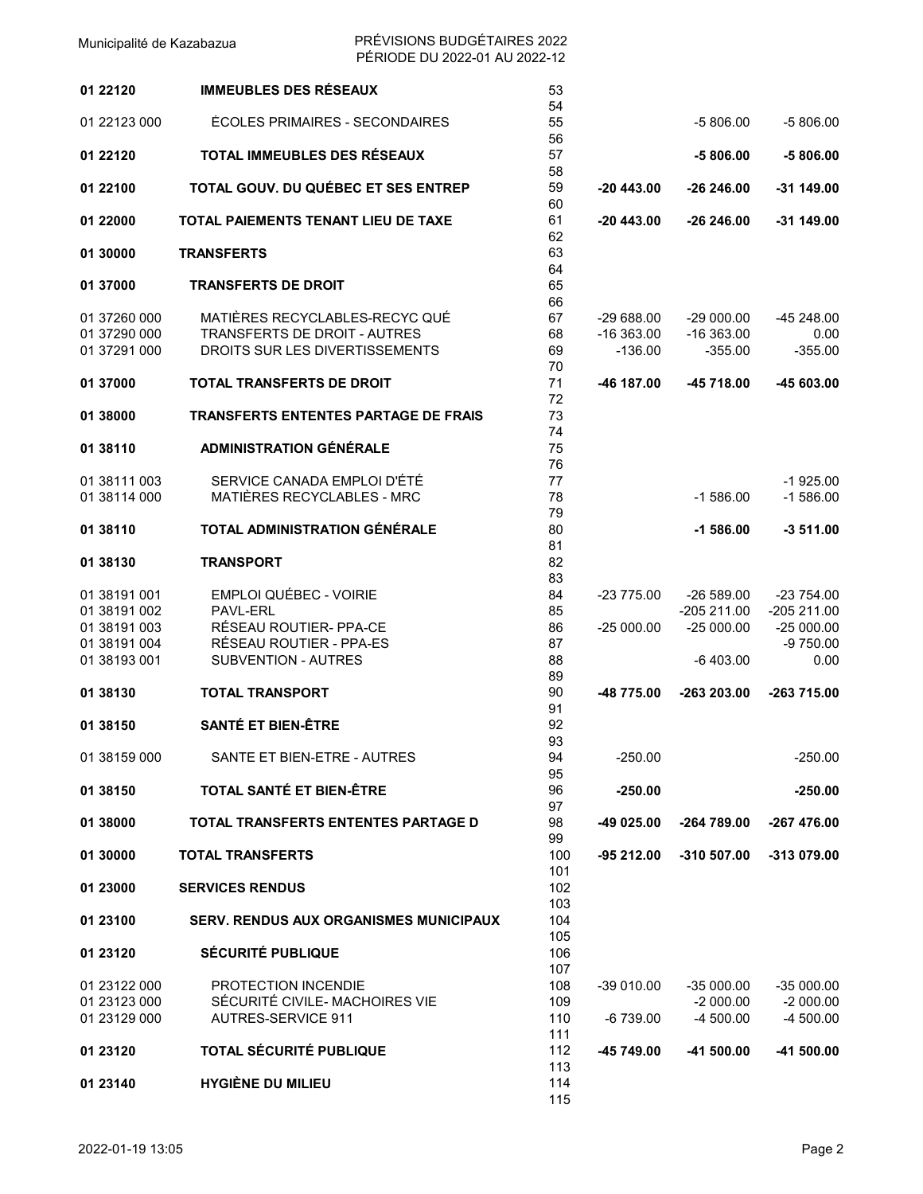| 01 22120     | <b>IMMEUBLES DES RÉSEAUX</b>                  | 53<br>54 |             |              |             |
|--------------|-----------------------------------------------|----------|-------------|--------------|-------------|
| 01 22123 000 | ÉCOLES PRIMAIRES - SECONDAIRES                | 55<br>56 |             | $-5806.00$   | $-5806.00$  |
| 01 22120     | TOTAL IMMEUBLES DES RÉSEAUX                   | 57<br>58 |             | $-5806.00$   | $-5806.00$  |
| 01 22100     | TOTAL GOUV. DU QUÉBEC ET SES ENTREP           | 59<br>60 | $-20443.00$ | -26 246.00   | -31 149.00  |
| 01 22000     | TOTAL PAIEMENTS TENANT LIEU DE TAXE           | 61<br>62 | $-20443.00$ | $-26246.00$  | $-31149.00$ |
| 01 30000     | <b>TRANSFERTS</b>                             | 63<br>64 |             |              |             |
| 01 37000     | <b>TRANSFERTS DE DROIT</b>                    | 65<br>66 |             |              |             |
| 01 37260 000 | MATIÈRES RECYCLABLES-RECYC QUÉ                | 67       | $-29688.00$ | $-29000.00$  | -45 248.00  |
|              | <b>TRANSFERTS DE DROIT - AUTRES</b>           |          |             |              |             |
| 01 37290 000 |                                               | 68       | $-16363.00$ | $-16363.00$  | 0.00        |
| 01 37291 000 | DROITS SUR LES DIVERTISSEMENTS                | 69       | $-136.00$   | $-355.00$    | $-355.00$   |
|              |                                               | 70       |             |              |             |
| 01 37000     | <b>TOTAL TRANSFERTS DE DROIT</b>              | 71       | -46 187.00  | -45 718.00   | -45 603.00  |
|              |                                               | 72       |             |              |             |
| 01 38000     | <b>TRANSFERTS ENTENTES PARTAGE DE FRAIS</b>   | 73       |             |              |             |
|              |                                               | 74       |             |              |             |
| 01 38110     | <b>ADMINISTRATION GÉNÉRALE</b>                | 75       |             |              |             |
|              |                                               | 76       |             |              |             |
| 01 38111 003 | SERVICE CANADA EMPLOI D'ÉTÉ                   | 77       |             |              | $-1925.00$  |
| 01 38114 000 | MATIÈRES RECYCLABLES - MRC                    | 78       |             | $-1586.00$   | $-1586.00$  |
|              |                                               | 79       |             |              |             |
| 01 38110     | TOTAL ADMINISTRATION GÉNÉRALE                 | 80       |             | $-1586.00$   | $-3511.00$  |
|              |                                               | 81       |             |              |             |
| 01 38130     | <b>TRANSPORT</b>                              | 82       |             |              |             |
|              |                                               | 83       |             |              |             |
| 01 38191 001 | <b>EMPLOI QUÉBEC - VOIRIE</b>                 | 84       | $-23775.00$ | $-26589.00$  | $-23754.00$ |
|              |                                               |          |             |              |             |
| 01 38191 002 | PAVL-ERL                                      | 85       |             | $-205211.00$ | -205 211.00 |
| 01 38191 003 | RÉSEAU ROUTIER- PPA-CE                        | 86       | $-25000.00$ | $-25000.00$  | $-25000.00$ |
| 01 38191 004 | RÉSEAU ROUTIER - PPA-ES                       | 87       |             |              | $-9750.00$  |
| 01 38193 001 | SUBVENTION - AUTRES                           | 88       |             | $-6403.00$   | 0.00        |
|              |                                               | 89       |             |              |             |
| 01 38130     | <b>TOTAL TRANSPORT</b>                        | 90       | -48 775.00  | -263 203.00  | -263 715.00 |
|              |                                               | 91       |             |              |             |
| 01 38150     | <b>SANTÉ ET BIEN-ÊTRE</b>                     | 92       |             |              |             |
|              |                                               | 93       |             |              |             |
| 01 38159 000 | SANTE ET BIEN-ETRE - AUTRES                   | 94       | $-250.00$   |              | $-250.00$   |
|              |                                               | 95       |             |              |             |
| 01 38150     | TOTAL SANTÉ ET BIEN-ÊTRE                      | 96       | $-250.00$   |              | $-250.00$   |
|              |                                               | 97       |             |              |             |
| 01 38000     | TOTAL TRANSFERTS ENTENTES PARTAGE D           | 98       | -49 025.00  | -264 789.00  | -267 476.00 |
|              |                                               | 99       |             |              |             |
| 01 30000     | <b>TOTAL TRANSFERTS</b>                       | 100      | $-95212.00$ | -310 507.00  | -313 079.00 |
|              |                                               | 101      |             |              |             |
| 01 23000     | <b>SERVICES RENDUS</b>                        | 102      |             |              |             |
|              |                                               | 103      |             |              |             |
|              |                                               |          |             |              |             |
| 01 23100     | <b>SERV. RENDUS AUX ORGANISMES MUNICIPAUX</b> | 104      |             |              |             |
|              |                                               | 105      |             |              |             |
| 01 23120     | <b>SÉCURITÉ PUBLIQUE</b>                      | 106      |             |              |             |
|              |                                               | 107      |             |              |             |
| 01 23122 000 | PROTECTION INCENDIE                           | 108      | $-39010.00$ | $-35000.00$  | $-35000.00$ |
| 01 23123 000 | SÉCURITÉ CIVILE- MACHOIRES VIE                | 109      |             | $-2000.00$   | $-2000.00$  |
| 01 23129 000 | AUTRES-SERVICE 911                            | 110      | -6 739.00   | $-4500.00$   | $-4500.00$  |
|              |                                               | 111      |             |              |             |
| 01 23120     | <b>TOTAL SÉCURITÉ PUBLIQUE</b>                | 112      | -45 749.00  | -41 500.00   | -41 500.00  |
|              |                                               | 113      |             |              |             |
| 01 23140     | <b>HYGIÈNE DU MILIEU</b>                      | 114      |             |              |             |
|              |                                               | 115      |             |              |             |
|              |                                               |          |             |              |             |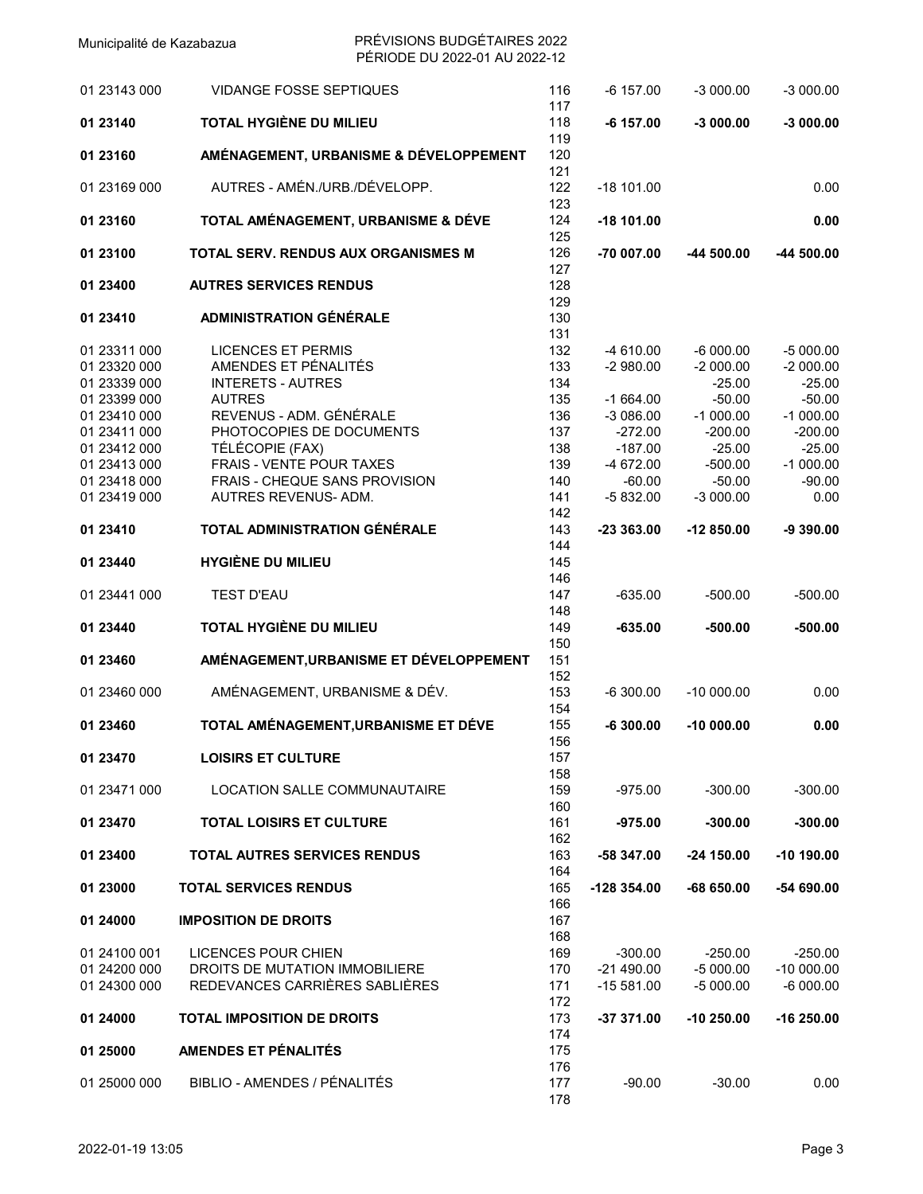| 01 23143 000 | <b>VIDANGE FOSSE SEPTIQUES</b>          | 116               | $-6$ 157.00  | $-3000.00$  | $-3000.00$  |
|--------------|-----------------------------------------|-------------------|--------------|-------------|-------------|
| 01 23140     | TOTAL HYGIÈNE DU MILIEU                 | 117<br>118<br>119 | $-6$ 157.00  | $-3000.00$  | $-3000.00$  |
| 01 23160     | AMÉNAGEMENT, URBANISME & DÉVELOPPEMENT  | 120<br>121        |              |             |             |
| 01 23169 000 | AUTRES - AMÉN./URB./DÉVELOPP.           | 122<br>123        | $-18$ 101.00 |             | 0.00        |
| 01 23160     | TOTAL AMÉNAGEMENT, URBANISME & DÉVE     | 124<br>125        | $-18$ 101.00 |             | 0.00        |
| 01 23100     | TOTAL SERV. RENDUS AUX ORGANISMES M     | 126<br>127        | -70 007.00   | -44 500.00  | -44 500.00  |
| 01 23400     | <b>AUTRES SERVICES RENDUS</b>           | 128<br>129        |              |             |             |
| 01 23410     | <b>ADMINISTRATION GÉNÉRALE</b>          | 130<br>131        |              |             |             |
| 01 23311 000 | <b>LICENCES ET PERMIS</b>               | 132               | $-4610.00$   | $-6000.00$  | $-5000.00$  |
| 01 23320 000 | AMENDES ET PÉNALITÉS                    | 133               | $-2980.00$   | $-2000.00$  | $-2000.00$  |
| 01 23339 000 | <b>INTERETS - AUTRES</b>                | 134               |              | $-25.00$    | $-25.00$    |
|              |                                         |                   |              |             |             |
| 01 23399 000 | <b>AUTRES</b>                           | 135               | $-1664.00$   | $-50.00$    | $-50.00$    |
| 01 23410 000 | REVENUS - ADM. GÉNÉRALE                 | 136               | $-3086.00$   | $-1000.00$  | $-1000.00$  |
| 01 23411 000 | PHOTOCOPIES DE DOCUMENTS                | 137               | $-272.00$    | $-200.00$   | $-200.00$   |
| 01 23412 000 | TÉLÉCOPIE (FAX)                         | 138               | $-187.00$    | $-25.00$    | $-25.00$    |
| 01 23413 000 | <b>FRAIS - VENTE POUR TAXES</b>         | 139               | -4 672.00    | $-500.00$   | $-1000.00$  |
| 01 23418 000 | FRAIS - CHEQUE SANS PROVISION           | 140               | $-60.00$     | $-50.00$    | $-90.00$    |
| 01 23419 000 | AUTRES REVENUS- ADM.                    | 141               | $-5832.00$   | $-3000.00$  | 0.00        |
|              |                                         |                   |              |             |             |
| 01 23410     | TOTAL ADMINISTRATION GÉNÉRALE           | 142<br>143        | $-23363.00$  | $-12850.00$ | $-9390.00$  |
|              |                                         | 144               |              |             |             |
| 01 23440     | <b>HYGIÈNE DU MILIEU</b>                | 145               |              |             |             |
|              |                                         | 146               |              |             |             |
| 01 23441 000 | <b>TEST D'EAU</b>                       | 147               | $-635.00$    | $-500.00$   | $-500.00$   |
|              |                                         | 148               |              |             |             |
| 01 23440     | TOTAL HYGIÈNE DU MILIEU                 | 149<br>150        | $-635.00$    | $-500.00$   | $-500.00$   |
| 01 23460     | AMÉNAGEMENT, URBANISME ET DÉVELOPPEMENT | 151<br>152        |              |             |             |
| 01 23460 000 | AMÉNAGEMENT, URBANISME & DÉV.           | 153<br>154        | $-6300.00$   | $-10000.00$ | 0.00        |
| 01 23460     | TOTAL AMÉNAGEMENT, URBANISME ET DÉVE    | 155<br>156        | $-6300.00$   | $-10000.00$ | 0.00        |
| 01 23470     | <b>LOISIRS ET CULTURE</b>               | 157<br>158        |              |             |             |
| 01 23471 000 | LOCATION SALLE COMMUNAUTAIRE            | 159<br>160        | $-975.00$    | $-300.00$   | $-300.00$   |
| 01 23470     | <b>TOTAL LOISIRS ET CULTURE</b>         | 161<br>162        | $-975.00$    | $-300.00$   | $-300.00$   |
| 01 23400     | <b>TOTAL AUTRES SERVICES RENDUS</b>     | 163<br>164        | -58 347.00   | $-24150.00$ | $-10190.00$ |
| 01 23000     | <b>TOTAL SERVICES RENDUS</b>            | 165<br>166        | -128 354.00  | $-68650.00$ | -54 690.00  |
| 01 24000     | <b>IMPOSITION DE DROITS</b>             | 167<br>168        |              |             |             |
| 01 24100 001 | LICENCES POUR CHIEN                     | 169               | $-300.00$    | $-250.00$   | $-250.00$   |
|              | DROITS DE MUTATION IMMOBILIERE          |                   |              |             |             |
| 01 24200 000 |                                         | 170               | $-21490.00$  | $-5000.00$  | $-10000.00$ |
| 01 24300 000 | REDEVANCES CARRIÈRES SABLIÈRES          | 171               | $-15581.00$  | $-5000.00$  | $-6000.00$  |
|              |                                         | 172               |              |             |             |
| 01 24000     | <b>TOTAL IMPOSITION DE DROITS</b>       | 173               | -37 371.00   | $-10250.00$ | $-16250.00$ |
|              |                                         | 174               |              |             |             |
| 01 25000     | AMENDES ET PÉNALITÉS                    | 175               |              |             |             |
| 01 25000 000 | BIBLIO - AMENDES / PÉNALITÉS            | 176<br>177<br>178 | $-90.00$     | $-30.00$    | 0.00        |
|              |                                         |                   |              |             |             |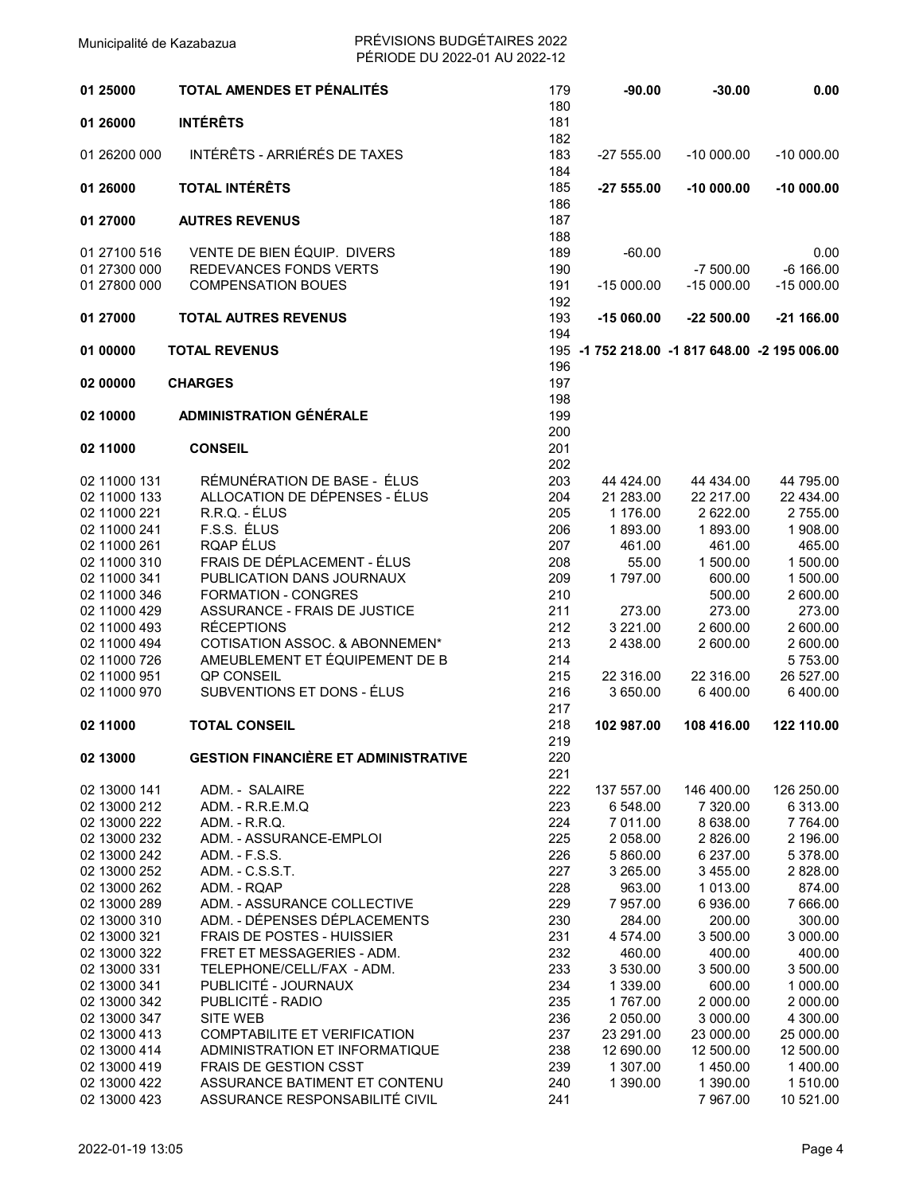| 01 25000                     | TOTAL AMENDES ET PÉNALITÉS                                       | 179<br>180 | $-90.00$                                      | $-30.00$             | 0.00                 |
|------------------------------|------------------------------------------------------------------|------------|-----------------------------------------------|----------------------|----------------------|
| 01 26000                     | <b>INTÉRÊTS</b>                                                  | 181<br>182 |                                               |                      |                      |
| 01 26200 000                 | INTÉRÊTS - ARRIÉRÉS DE TAXES                                     | 183<br>184 | $-2755.00$                                    | $-10000.00$          | $-10000.00$          |
| 01 26000                     | <b>TOTAL INTÉRÊTS</b>                                            | 185<br>186 | $-2755.00$                                    | $-10000.00$          | $-10000.00$          |
| 01 27000                     | <b>AUTRES REVENUS</b>                                            | 187<br>188 |                                               |                      |                      |
| 01 27100 516                 | VENTE DE BIEN ÉQUIP. DIVERS                                      | 189        | $-60.00$                                      |                      | 0.00                 |
| 01 27300 000                 | <b>REDEVANCES FONDS VERTS</b>                                    | 190        |                                               | $-7500.00$           | $-6$ 166.00          |
| 01 27800 000                 | <b>COMPENSATION BOUES</b>                                        | 191        | $-15000.00$                                   | $-15000.00$          | $-15000.00$          |
|                              |                                                                  | 192        |                                               |                      |                      |
| 01 27000                     | <b>TOTAL AUTRES REVENUS</b>                                      | 193<br>194 | $-15060.00$                                   | $-22500.00$          | $-21166.00$          |
| 01 00000                     | <b>TOTAL REVENUS</b>                                             | 196        | 195 -1 752 218.00 -1 817 648.00 -2 195 006.00 |                      |                      |
| 02 00000                     | <b>CHARGES</b>                                                   | 197        |                                               |                      |                      |
|                              | <b>ADMINISTRATION GÉNÉRALE</b>                                   | 198        |                                               |                      |                      |
| 02 10000                     |                                                                  | 199<br>200 |                                               |                      |                      |
| 02 11000                     | <b>CONSEIL</b>                                                   | 201        |                                               |                      |                      |
|                              |                                                                  | 202        |                                               |                      |                      |
| 02 11000 131                 | RÉMUNÉRATION DE BASE - ÉLUS                                      | 203        | 44 424.00                                     | 44 434.00            | 44 795.00            |
| 02 11000 133                 | ALLOCATION DE DÉPENSES - ÉLUS                                    | 204        | 21 283.00                                     | 22 217.00            | 22 434.00            |
| 02 11000 221                 | R.R.Q. - ÉLUS                                                    | 205        | 1 176.00                                      | 2 622.00             | 2755.00              |
| 02 11000 241                 | F.S.S. ÉLUS                                                      | 206        | 1893.00                                       | 1893.00              | 1 908.00             |
| 02 11000 261                 | RQAP ÉLUS                                                        | 207        | 461.00                                        | 461.00               | 465.00               |
| 02 11000 310                 | FRAIS DE DÉPLACEMENT - ÉLUS                                      | 208        | 55.00                                         | 1 500.00             | 1 500.00             |
| 02 11000 341                 | PUBLICATION DANS JOURNAUX                                        | 209        | 1797.00                                       | 600.00               | 1 500.00             |
| 02 11000 346                 | <b>FORMATION - CONGRES</b>                                       | 210        |                                               | 500.00               | 2 600.00             |
| 02 11000 429                 | ASSURANCE - FRAIS DE JUSTICE                                     | 211        | 273.00                                        | 273.00               | 273.00               |
| 02 11000 493                 | <b>RÉCEPTIONS</b>                                                | 212        | 3 2 2 1 .00                                   | 2 600.00             | 2 600.00             |
| 02 11000 494<br>02 11000 726 | COTISATION ASSOC. & ABONNEMEN*<br>AMEUBLEMENT ET ÉQUIPEMENT DE B | 213<br>214 | 2 438.00                                      | 2 600.00             | 2 600.00<br>5753.00  |
| 02 11000 951                 | <b>QP CONSEIL</b>                                                | 215        | 22 316.00                                     | 22 316.00            | 26 527.00            |
| 02 11000 970                 | SUBVENTIONS ET DONS - ÉLUS                                       | 216        | 3 650.00                                      | 6 400.00             | 6 400.00             |
|                              |                                                                  | 217        |                                               |                      |                      |
| 02 11000                     | <b>TOTAL CONSEIL</b>                                             | 218<br>219 | 102 987.00                                    | 108 416.00           | 122 110.00           |
| 02 13000                     | <b>GESTION FINANCIÈRE ET ADMINISTRATIVE</b>                      | 220        |                                               |                      |                      |
|                              |                                                                  | 221        |                                               |                      |                      |
| 02 13000 141                 | ADM. - SALAIRE                                                   | 222        | 137 557.00                                    | 146 400.00           | 126 250.00           |
| 02 13000 212                 | ADM. - R.R.E.M.Q                                                 | 223        | 6 548.00                                      | 7 320.00             | 6 313.00             |
| 02 13000 222                 | ADM. - R.R.Q.                                                    | 224        | 7 011.00                                      | 8 638.00             | 7 764.00             |
| 02 13000 232                 | ADM. - ASSURANCE-EMPLOI                                          | 225        | 2 058.00                                      | 2 826.00             | 2 196.00             |
| 02 13000 242                 | ADM. - F.S.S.                                                    | 226<br>227 | 5 860.00<br>3 265.00                          | 6 237.00<br>3 455.00 | 5 378.00<br>2 828.00 |
| 02 13000 252<br>02 13000 262 | ADM. - C.S.S.T.<br>ADM. - RQAP                                   | 228        | 963.00                                        | 1 013.00             | 874.00               |
| 02 13000 289                 | ADM. - ASSURANCE COLLECTIVE                                      | 229        | 7 957.00                                      | 6936.00              | 7 666.00             |
| 02 13000 310                 | ADM. - DÉPENSES DÉPLACEMENTS                                     | 230        | 284.00                                        | 200.00               | 300.00               |
| 02 13000 321                 | FRAIS DE POSTES - HUISSIER                                       | 231        | 4 574.00                                      | 3 500.00             | 3 000.00             |
| 02 13000 322                 | FRET ET MESSAGERIES - ADM.                                       | 232        | 460.00                                        | 400.00               | 400.00               |
| 02 13000 331                 | TELEPHONE/CELL/FAX - ADM.                                        | 233        | 3 530.00                                      | 3 500.00             | 3 500.00             |
| 02 13000 341                 | PUBLICITÉ - JOURNAUX                                             | 234        | 1 339.00                                      | 600.00               | 1 000.00             |
| 02 13000 342                 | PUBLICITÉ - RADIO                                                | 235        | 1767.00                                       | 2 000.00             | 2 000.00             |
| 02 13000 347                 | SITE WEB                                                         | 236        | 2 050.00                                      | 3 000.00             | 4 300.00             |
| 02 13000 413                 | <b>COMPTABILITE ET VERIFICATION</b>                              | 237        | 23 291.00                                     | 23 000.00            | 25 000.00            |
| 02 13000 414                 | ADMINISTRATION ET INFORMATIQUE                                   | 238        | 12 690.00                                     | 12 500.00            | 12 500.00            |
| 02 13000 419<br>02 13000 422 | <b>FRAIS DE GESTION CSST</b><br>ASSURANCE BATIMENT ET CONTENU    | 239<br>240 | 1 307.00<br>1 390.00                          | 1450.00<br>1 390.00  | 1 400.00<br>1 510.00 |
| 02 13000 423                 | ASSURANCE RESPONSABILITÉ CIVIL                                   | 241        |                                               | 7 967.00             | 10 521.00            |
|                              |                                                                  |            |                                               |                      |                      |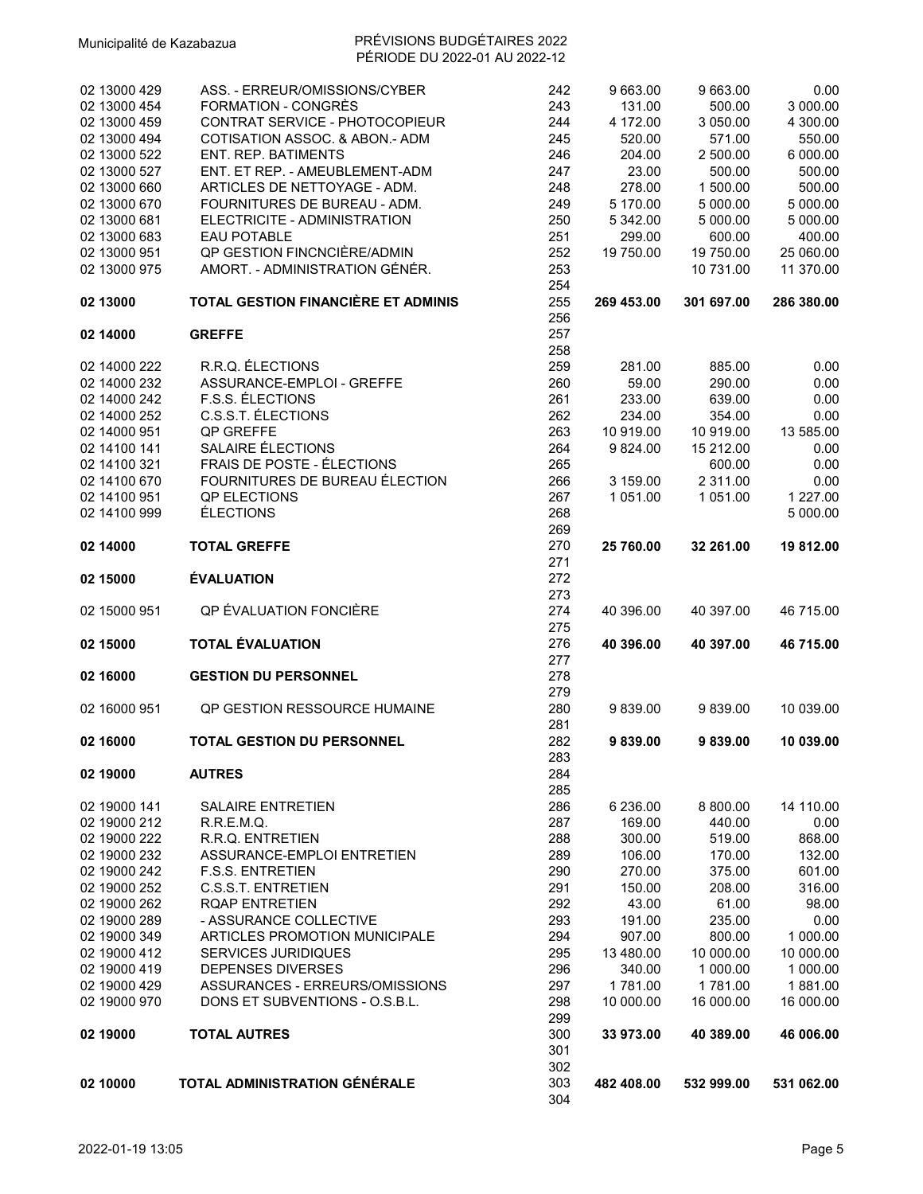| 02 13000 429<br>02 13000 454<br>02 13000 459<br>02 13000 494<br>02 13000 522<br>02 13000 527<br>02 13000 660<br>02 13000 670<br>02 13000 681<br>02 13000 683<br>02 13000 951 | ASS. - ERREUR/OMISSIONS/CYBER<br>FORMATION - CONGRÈS<br>CONTRAT SERVICE - PHOTOCOPIEUR<br>COTISATION ASSOC. & ABON.- ADM<br><b>ENT. REP. BATIMENTS</b><br>ENT. ET REP. - AMEUBLEMENT-ADM<br>ARTICLES DE NETTOYAGE - ADM.<br>FOURNITURES DE BUREAU - ADM.<br>ELECTRICITE - ADMINISTRATION<br><b>EAU POTABLE</b><br>QP GESTION FINCNCIÈRE/ADMIN | 242<br>243<br>244<br>245<br>246<br>247<br>248<br>249<br>250<br>251<br>252 | 9 663.00<br>131.00<br>4 172.00<br>520.00<br>204.00<br>23.00<br>278.00<br>5 170.00<br>5 342.00<br>299.00<br>19 750.00 | 9 663.00<br>500.00<br>3 050.00<br>571.00<br>2 500.00<br>500.00<br>1 500.00<br>5 000.00<br>5 000.00<br>600.00<br>19 750.00 | 0.00<br>3 000.00<br>4 300.00<br>550.00<br>6 000.00<br>500.00<br>500.00<br>5 000.00<br>5 000.00<br>400.00<br>25 060.00 |
|------------------------------------------------------------------------------------------------------------------------------------------------------------------------------|-----------------------------------------------------------------------------------------------------------------------------------------------------------------------------------------------------------------------------------------------------------------------------------------------------------------------------------------------|---------------------------------------------------------------------------|----------------------------------------------------------------------------------------------------------------------|---------------------------------------------------------------------------------------------------------------------------|-----------------------------------------------------------------------------------------------------------------------|
| 02 13000 975<br>02 13000                                                                                                                                                     | AMORT. - ADMINISTRATION GÉNÉR.<br>TOTAL GESTION FINANCIÈRE ET ADMINIS                                                                                                                                                                                                                                                                         | 253<br>254<br>255                                                         | 269 453.00                                                                                                           | 10 731.00<br>301 697.00                                                                                                   | 11 370.00<br>286 380.00                                                                                               |
|                                                                                                                                                                              |                                                                                                                                                                                                                                                                                                                                               | 256                                                                       |                                                                                                                      |                                                                                                                           |                                                                                                                       |
| 02 14000                                                                                                                                                                     | <b>GREFFE</b>                                                                                                                                                                                                                                                                                                                                 | 257                                                                       |                                                                                                                      |                                                                                                                           |                                                                                                                       |
|                                                                                                                                                                              |                                                                                                                                                                                                                                                                                                                                               | 258                                                                       |                                                                                                                      |                                                                                                                           |                                                                                                                       |
| 02 14000 222                                                                                                                                                                 | R.R.Q. ÉLECTIONS                                                                                                                                                                                                                                                                                                                              | 259                                                                       | 281.00                                                                                                               | 885.00                                                                                                                    | 0.00                                                                                                                  |
| 02 14000 232                                                                                                                                                                 | ASSURANCE-EMPLOI - GREFFE                                                                                                                                                                                                                                                                                                                     | 260                                                                       | 59.00                                                                                                                | 290.00                                                                                                                    | 0.00                                                                                                                  |
| 02 14000 242                                                                                                                                                                 | F.S.S. ELECTIONS                                                                                                                                                                                                                                                                                                                              | 261                                                                       | 233.00                                                                                                               | 639.00                                                                                                                    | 0.00                                                                                                                  |
| 02 14000 252                                                                                                                                                                 | C.S.S.T. ÉLECTIONS                                                                                                                                                                                                                                                                                                                            | 262                                                                       | 234.00                                                                                                               | 354.00                                                                                                                    | 0.00                                                                                                                  |
| 02 14000 951                                                                                                                                                                 | QP GREFFE                                                                                                                                                                                                                                                                                                                                     | 263                                                                       | 10 919.00                                                                                                            | 10 919.00                                                                                                                 | 13 585.00                                                                                                             |
| 02 14100 141                                                                                                                                                                 | SALAIRE ÉLECTIONS                                                                                                                                                                                                                                                                                                                             | 264                                                                       | 9824.00                                                                                                              | 15 212.00                                                                                                                 | 0.00                                                                                                                  |
| 02 14100 321                                                                                                                                                                 | FRAIS DE POSTE - ÉLECTIONS                                                                                                                                                                                                                                                                                                                    | 265                                                                       |                                                                                                                      | 600.00                                                                                                                    | 0.00                                                                                                                  |
| 02 14100 670                                                                                                                                                                 | FOURNITURES DE BUREAU ÉLECTION                                                                                                                                                                                                                                                                                                                | 266                                                                       | 3 159.00                                                                                                             | 2 311.00                                                                                                                  | 0.00                                                                                                                  |
| 02 14100 951<br>02 14100 999                                                                                                                                                 | QP ELECTIONS                                                                                                                                                                                                                                                                                                                                  | 267                                                                       | 1 051.00                                                                                                             | 1 051.00                                                                                                                  | 1 227.00<br>5 000.00                                                                                                  |
|                                                                                                                                                                              | <b>ÉLECTIONS</b>                                                                                                                                                                                                                                                                                                                              | 268<br>269                                                                |                                                                                                                      |                                                                                                                           |                                                                                                                       |
| 02 14000                                                                                                                                                                     | <b>TOTAL GREFFE</b>                                                                                                                                                                                                                                                                                                                           | 270                                                                       | 25 760.00                                                                                                            | 32 261.00                                                                                                                 |                                                                                                                       |
|                                                                                                                                                                              |                                                                                                                                                                                                                                                                                                                                               | 271                                                                       |                                                                                                                      |                                                                                                                           | 19 812.00                                                                                                             |
| 02 15000                                                                                                                                                                     | <b>ÉVALUATION</b>                                                                                                                                                                                                                                                                                                                             | 272                                                                       |                                                                                                                      |                                                                                                                           |                                                                                                                       |
|                                                                                                                                                                              |                                                                                                                                                                                                                                                                                                                                               | 273                                                                       |                                                                                                                      |                                                                                                                           |                                                                                                                       |
| 02 15000 951                                                                                                                                                                 | QP ÉVALUATION FONCIÈRE                                                                                                                                                                                                                                                                                                                        | 274                                                                       | 40 396.00                                                                                                            | 40 397.00                                                                                                                 | 46 715.00                                                                                                             |
|                                                                                                                                                                              |                                                                                                                                                                                                                                                                                                                                               | 275                                                                       |                                                                                                                      |                                                                                                                           |                                                                                                                       |
| 02 15000                                                                                                                                                                     | <b>TOTAL ÉVALUATION</b>                                                                                                                                                                                                                                                                                                                       | 276                                                                       | 40 396.00                                                                                                            | 40 397.00                                                                                                                 | 46 715.00                                                                                                             |
|                                                                                                                                                                              |                                                                                                                                                                                                                                                                                                                                               | 277                                                                       |                                                                                                                      |                                                                                                                           |                                                                                                                       |
| 02 16000                                                                                                                                                                     | <b>GESTION DU PERSONNEL</b>                                                                                                                                                                                                                                                                                                                   | 278                                                                       |                                                                                                                      |                                                                                                                           |                                                                                                                       |
|                                                                                                                                                                              |                                                                                                                                                                                                                                                                                                                                               | 279                                                                       |                                                                                                                      |                                                                                                                           |                                                                                                                       |
| 02 16000 951                                                                                                                                                                 | QP GESTION RESSOURCE HUMAINE                                                                                                                                                                                                                                                                                                                  | 280                                                                       | 9839.00                                                                                                              | 9839.00                                                                                                                   | 10 039.00                                                                                                             |
|                                                                                                                                                                              |                                                                                                                                                                                                                                                                                                                                               | 281                                                                       |                                                                                                                      |                                                                                                                           |                                                                                                                       |
| 02 16000                                                                                                                                                                     | TOTAL GESTION DU PERSONNEL                                                                                                                                                                                                                                                                                                                    | 282                                                                       | 9839.00                                                                                                              | 9839.00                                                                                                                   | 10 039.00                                                                                                             |
|                                                                                                                                                                              |                                                                                                                                                                                                                                                                                                                                               | 283                                                                       |                                                                                                                      |                                                                                                                           |                                                                                                                       |
| 02 19000                                                                                                                                                                     | <b>AUTRES</b>                                                                                                                                                                                                                                                                                                                                 | 284                                                                       |                                                                                                                      |                                                                                                                           |                                                                                                                       |
|                                                                                                                                                                              |                                                                                                                                                                                                                                                                                                                                               | 285                                                                       |                                                                                                                      |                                                                                                                           |                                                                                                                       |
| 02 19000 141                                                                                                                                                                 | <b>SALAIRE ENTRETIEN</b>                                                                                                                                                                                                                                                                                                                      | 286                                                                       | 6 236.00                                                                                                             | 8 800.00                                                                                                                  | 14 110.00                                                                                                             |
| 02 19000 212                                                                                                                                                                 | R.R.E.M.Q.                                                                                                                                                                                                                                                                                                                                    | 287                                                                       | 169.00                                                                                                               | 440.00                                                                                                                    | 0.00                                                                                                                  |
| 02 19000 222                                                                                                                                                                 | <b>R.R.Q. ENTRETIEN</b>                                                                                                                                                                                                                                                                                                                       | 288                                                                       | 300.00                                                                                                               | 519.00                                                                                                                    | 868.00                                                                                                                |
| 02 19000 232                                                                                                                                                                 | ASSURANCE-EMPLOI ENTRETIEN                                                                                                                                                                                                                                                                                                                    | 289                                                                       | 106.00                                                                                                               | 170.00                                                                                                                    | 132.00                                                                                                                |
| 02 19000 242                                                                                                                                                                 | <b>F.S.S. ENTRETIEN</b>                                                                                                                                                                                                                                                                                                                       | 290                                                                       | 270.00                                                                                                               | 375.00                                                                                                                    | 601.00                                                                                                                |
| 02 19000 252<br>02 19000 262                                                                                                                                                 | <b>C.S.S.T. ENTRETIEN</b><br><b>RQAP ENTRETIEN</b>                                                                                                                                                                                                                                                                                            | 291<br>292                                                                | 150.00<br>43.00                                                                                                      | 208.00<br>61.00                                                                                                           | 316.00<br>98.00                                                                                                       |
| 02 19000 289                                                                                                                                                                 | - ASSURANCE COLLECTIVE                                                                                                                                                                                                                                                                                                                        | 293                                                                       | 191.00                                                                                                               | 235.00                                                                                                                    | 0.00                                                                                                                  |
| 02 19000 349                                                                                                                                                                 | <b>ARTICLES PROMOTION MUNICIPALE</b>                                                                                                                                                                                                                                                                                                          | 294                                                                       | 907.00                                                                                                               | 800.00                                                                                                                    | 1 000.00                                                                                                              |
| 02 19000 412                                                                                                                                                                 | <b>SERVICES JURIDIQUES</b>                                                                                                                                                                                                                                                                                                                    | 295                                                                       | 13 480.00                                                                                                            | 10 000.00                                                                                                                 | 10 000.00                                                                                                             |
| 02 19000 419                                                                                                                                                                 | DEPENSES DIVERSES                                                                                                                                                                                                                                                                                                                             | 296                                                                       | 340.00                                                                                                               | 1 000.00                                                                                                                  | 1 000.00                                                                                                              |
| 02 19000 429                                                                                                                                                                 | ASSURANCES - ERREURS/OMISSIONS                                                                                                                                                                                                                                                                                                                | 297                                                                       | 1781.00                                                                                                              | 1781.00                                                                                                                   | 1881.00                                                                                                               |
| 02 19000 970                                                                                                                                                                 | DONS ET SUBVENTIONS - O.S.B.L.                                                                                                                                                                                                                                                                                                                | 298                                                                       | 10 000.00                                                                                                            | 16 000.00                                                                                                                 | 16 000.00                                                                                                             |
|                                                                                                                                                                              |                                                                                                                                                                                                                                                                                                                                               | 299                                                                       |                                                                                                                      |                                                                                                                           |                                                                                                                       |
| 02 19000                                                                                                                                                                     | <b>TOTAL AUTRES</b>                                                                                                                                                                                                                                                                                                                           | 300                                                                       | 33 973.00                                                                                                            | 40 389.00                                                                                                                 | 46 006.00                                                                                                             |
|                                                                                                                                                                              |                                                                                                                                                                                                                                                                                                                                               | 301                                                                       |                                                                                                                      |                                                                                                                           |                                                                                                                       |
|                                                                                                                                                                              |                                                                                                                                                                                                                                                                                                                                               | 302                                                                       |                                                                                                                      |                                                                                                                           |                                                                                                                       |
| 02 10000                                                                                                                                                                     | TOTAL ADMINISTRATION GÉNÉRALE                                                                                                                                                                                                                                                                                                                 | 303                                                                       | 482 408.00                                                                                                           | 532 999.00                                                                                                                | 531 062.00                                                                                                            |
|                                                                                                                                                                              |                                                                                                                                                                                                                                                                                                                                               | 304                                                                       |                                                                                                                      |                                                                                                                           |                                                                                                                       |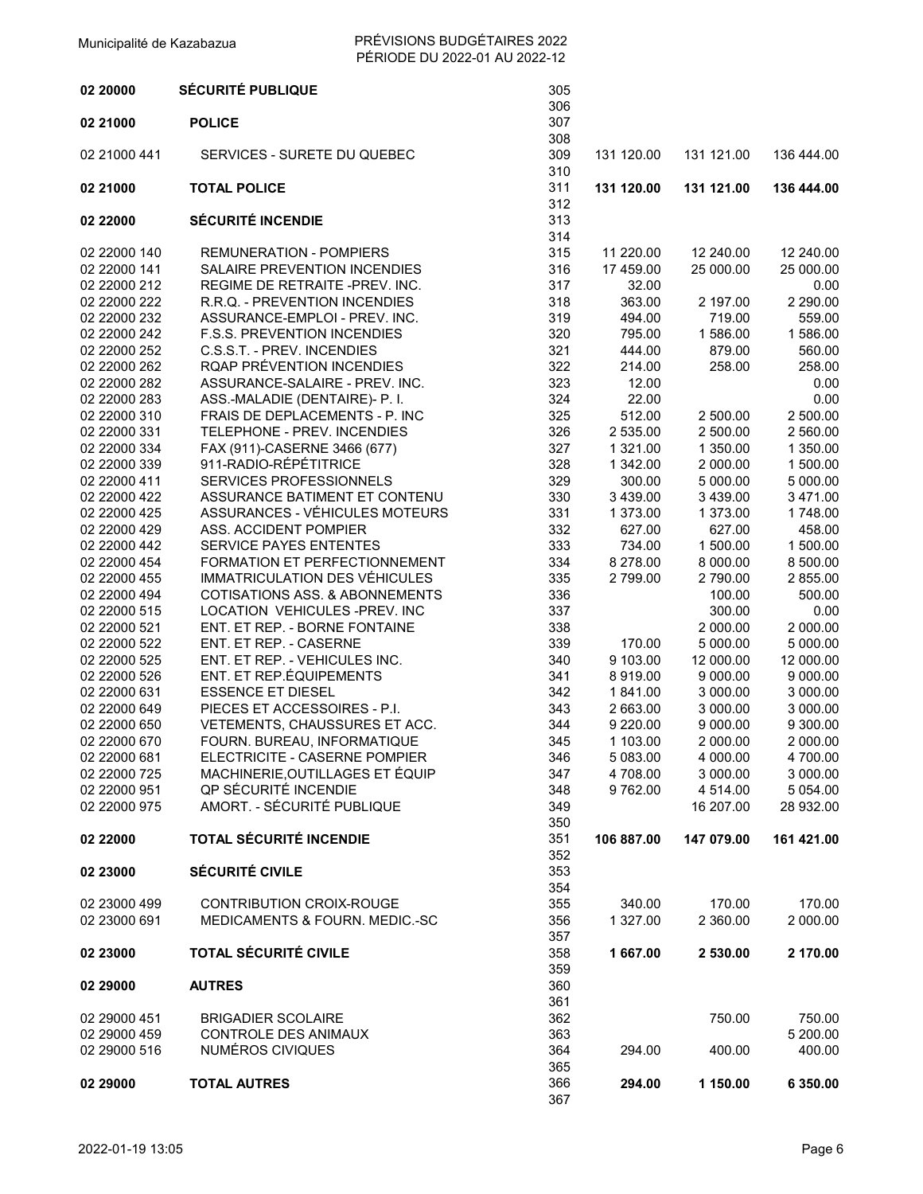| 02 20000     | <b>SÉCURITÉ PUBLIQUE</b>                  | 305        |            |            |            |
|--------------|-------------------------------------------|------------|------------|------------|------------|
|              |                                           | 306        |            |            |            |
| 02 21000     | <b>POLICE</b>                             | 307        |            |            |            |
|              |                                           | 308        |            |            |            |
| 02 21000 441 | SERVICES - SURETE DU QUEBEC               | 309        | 131 120.00 | 131 121.00 | 136 444.00 |
| 02 21000     | <b>TOTAL POLICE</b>                       | 310<br>311 | 131 120.00 | 131 121.00 | 136 444.00 |
|              |                                           | 312        |            |            |            |
| 02 22000     | <b>SÉCURITÉ INCENDIE</b>                  | 313        |            |            |            |
|              |                                           | 314        |            |            |            |
| 02 22000 140 | <b>REMUNERATION - POMPIERS</b>            | 315        | 11 220.00  | 12 240.00  | 12 240.00  |
| 02 22000 141 | SALAIRE PREVENTION INCENDIES              | 316        | 17 459.00  | 25 000.00  | 25 000.00  |
| 02 22000 212 | REGIME DE RETRAITE -PREV. INC.            | 317        | 32.00      |            | 0.00       |
| 02 22000 222 | R.R.Q. - PREVENTION INCENDIES             | 318        | 363.00     | 2 197.00   | 2 290.00   |
| 02 22000 232 | ASSURANCE-EMPLOI - PREV. INC.             | 319        | 494.00     | 719.00     | 559.00     |
| 02 22000 242 | <b>F.S.S. PREVENTION INCENDIES</b>        | 320        | 795.00     | 1586.00    | 1586.00    |
| 02 22000 252 | C.S.S.T. - PREV. INCENDIES                | 321        | 444.00     | 879.00     | 560.00     |
| 02 22000 262 | RQAP PRÉVENTION INCENDIES                 | 322        | 214.00     | 258.00     | 258.00     |
| 02 22000 282 | ASSURANCE-SALAIRE - PREV. INC.            | 323        | 12.00      |            | 0.00       |
| 02 22000 283 | ASS.-MALADIE (DENTAIRE)- P. I.            | 324        | 22.00      |            | 0.00       |
| 02 22000 310 | FRAIS DE DEPLACEMENTS - P. INC            | 325        | 512.00     | 2 500.00   | 2 500.00   |
| 02 22000 331 | TELEPHONE - PREV. INCENDIES               | 326        | 2 535.00   | 2 500.00   | 2 560.00   |
| 02 22000 334 | FAX (911)-CASERNE 3466 (677)              | 327        | 1 321.00   | 1 350.00   | 1 350.00   |
| 02 22000 339 | 911-RADIO-RÉPÉTITRICE                     | 328        | 1 342.00   | 2 000.00   | 1 500.00   |
| 02 22000 411 | SERVICES PROFESSIONNELS                   | 329        | 300.00     | 5 000.00   | 5 000.00   |
| 02 22000 422 | ASSURANCE BATIMENT ET CONTENU             | 330        | 3 439.00   | 3 439.00   | 3 471.00   |
| 02 22000 425 | ASSURANCES - VÉHICULES MOTEURS            | 331        | 1 373.00   | 1 373.00   | 1748.00    |
| 02 22000 429 | ASS. ACCIDENT POMPIER                     | 332        | 627.00     | 627.00     | 458.00     |
| 02 22000 442 | <b>SERVICE PAYES ENTENTES</b>             | 333        | 734.00     | 1 500.00   | 1 500.00   |
| 02 22000 454 | FORMATION ET PERFECTIONNEMENT             | 334        | 8 278.00   | 8 000.00   | 8 500.00   |
| 02 22000 455 | IMMATRICULATION DES VÉHICULES             | 335        | 2799.00    | 2790.00    | 2 855.00   |
| 02 22000 494 | COTISATIONS ASS. & ABONNEMENTS            | 336        |            | 100.00     | 500.00     |
| 02 22000 515 | LOCATION VEHICULES-PREV. INC              | 337        |            | 300.00     | 0.00       |
| 02 22000 521 | ENT. ET REP. - BORNE FONTAINE             | 338        |            | 2 000.00   | 2 000.00   |
| 02 22000 522 | ENT. ET REP. - CASERNE                    | 339        | 170.00     | 5 000.00   | 5 000.00   |
| 02 22000 525 | ENT. ET REP. - VEHICULES INC.             | 340        | 9 103.00   | 12 000.00  | 12 000.00  |
| 02 22000 526 | ENT. ET REP.ÉQUIPEMENTS                   | 341        | 8919.00    | 9 000.00   | 9 000.00   |
| 02 22000 631 | <b>ESSENCE ET DIESEL</b>                  | 342        | 1841.00    | 3 000.00   | 3 000.00   |
| 02 22000 649 | PIECES ET ACCESSOIRES - P.I.              | 343        | 2 663.00   | 3 000.00   | 3 000.00   |
| 02 22000 650 | VETEMENTS, CHAUSSURES ET ACC.             | 344        | 9 2 2 0.00 | 9 000.00   | 9 300.00   |
| 02 22000 670 | FOURN. BUREAU, INFORMATIQUE               | 345        | 1 103.00   | 2 000.00   | 2 000.00   |
| 02 22000 681 | ELECTRICITE - CASERNE POMPIER             | 346        | 5 083.00   | 4 000.00   | 4 700.00   |
| 02 22000 725 | MACHINERIE, OUTILLAGES ET ÉQUIP           | 347        | 4708.00    | 3 000.00   | 3 000.00   |
| 02 22000 951 | QP SÉCURITÉ INCENDIE                      | 348        | 9762.00    | 4 514.00   | 5 0 54.00  |
| 02 22000 975 | AMORT. - SÉCURITÉ PUBLIQUE                | 349        |            | 16 207.00  | 28 932.00  |
|              |                                           | 350        |            |            |            |
| 02 22000     | <b>TOTAL SÉCURITÉ INCENDIE</b>            | 351        | 106 887.00 | 147 079.00 | 161 421.00 |
|              |                                           | 352        |            |            |            |
| 02 23000     | <b>SÉCURITÉ CIVILE</b>                    | 353        |            |            |            |
|              |                                           | 354        |            |            |            |
| 02 23000 499 | CONTRIBUTION CROIX-ROUGE                  | 355        | 340.00     | 170.00     | 170.00     |
| 02 23000 691 | <b>MEDICAMENTS &amp; FOURN. MEDIC.-SC</b> | 356        | 1 327.00   | 2 360.00   | 2 000.00   |
|              |                                           | 357        |            |            |            |
| 02 23000     | <b>TOTAL SÉCURITÉ CIVILE</b>              | 358        | 1667.00    | 2 530.00   | 2 170.00   |
|              |                                           | 359        |            |            |            |
| 02 29000     | <b>AUTRES</b>                             | 360<br>361 |            |            |            |
| 02 29000 451 | <b>BRIGADIER SCOLAIRE</b>                 | 362        |            | 750.00     | 750.00     |
| 02 29000 459 | <b>CONTROLE DES ANIMAUX</b>               | 363        |            |            | 5 200.00   |
| 02 29000 516 | NUMÉROS CIVIQUES                          | 364        | 294.00     | 400.00     | 400.00     |
|              |                                           | 365        |            |            |            |
| 02 29000     | <b>TOTAL AUTRES</b>                       | 366        | 294.00     | 1 150.00   | 6 350.00   |
|              |                                           | 367        |            |            |            |
|              |                                           |            |            |            |            |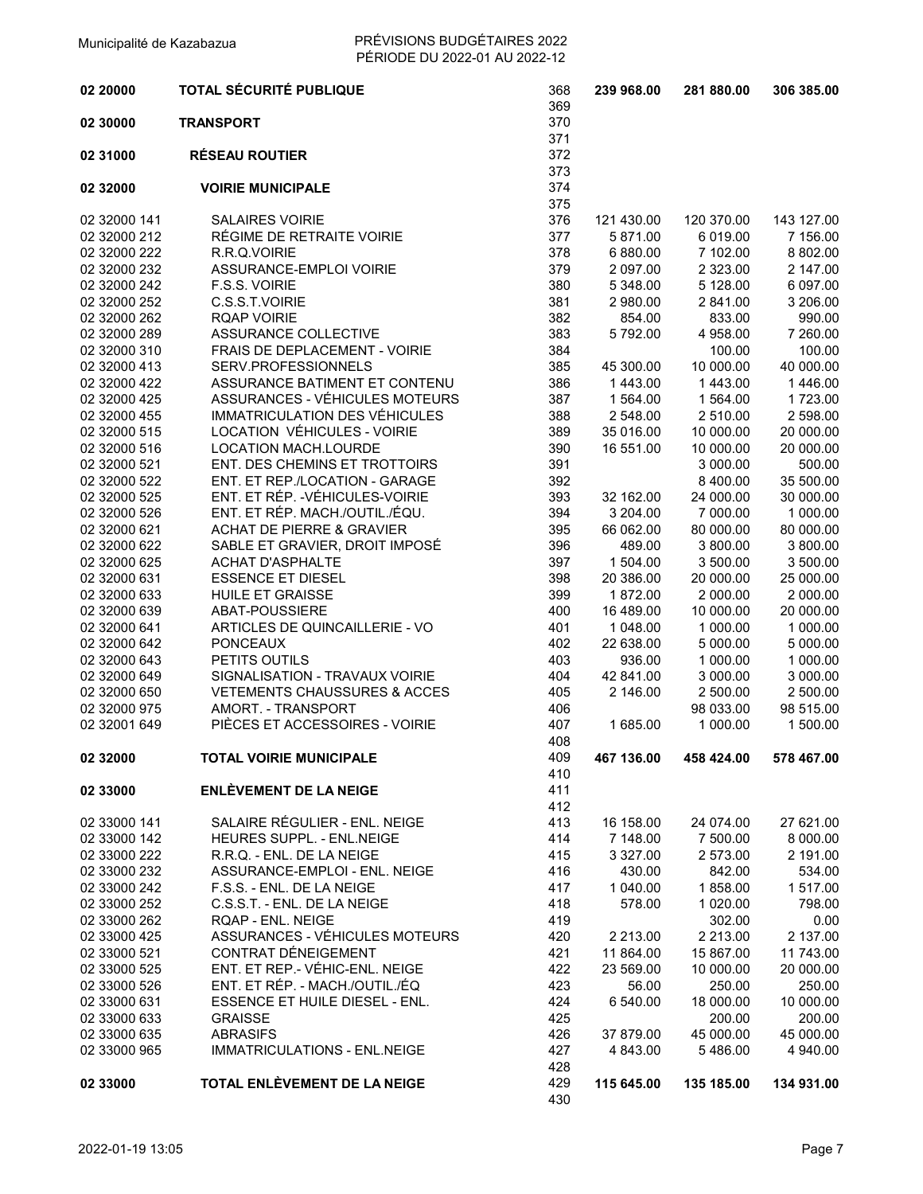| 02 20000                     | <b>TOTAL SÉCURITÉ PUBLIQUE</b>                       | 368<br>369 | 239 968.00           | 281 880.00            | 306 385.00            |
|------------------------------|------------------------------------------------------|------------|----------------------|-----------------------|-----------------------|
| 02 30000                     | <b>TRANSPORT</b>                                     | 370        |                      |                       |                       |
|                              |                                                      | 371        |                      |                       |                       |
| 02 31000                     | <b>RÉSEAU ROUTIER</b>                                | 372<br>373 |                      |                       |                       |
| 02 32000                     | <b>VOIRIE MUNICIPALE</b>                             | 374<br>375 |                      |                       |                       |
| 02 32000 141                 | <b>SALAIRES VOIRIE</b>                               | 376        | 121 430.00           | 120 370.00            | 143 127.00            |
| 02 32000 212                 | RÉGIME DE RETRAITE VOIRIE                            | 377        | 5 871.00             | 6 019.00              | 7 156.00              |
| 02 32000 222                 | R.R.Q.VOIRIE                                         | 378        | 6 880.00             | 7 102.00              | 8 802.00              |
| 02 32000 232                 | ASSURANCE-EMPLOI VOIRIE                              | 379        | 2 097.00             | 2 3 2 3 .00           | 2 147.00              |
| 02 32000 242                 | F.S.S. VOIRIE                                        | 380        | 5 348.00             | 5 128.00              | 6 097.00              |
| 02 32000 252                 | C.S.S.T.VOIRIE                                       | 381        | 2 980.00             | 2 841.00              | 3 206.00              |
| 02 32000 262                 | <b>RQAP VOIRIE</b>                                   | 382        | 854.00               | 833.00                | 990.00                |
| 02 32000 289                 | ASSURANCE COLLECTIVE                                 | 383        | 5792.00              | 4 958.00              | 7 260.00              |
| 02 32000 310                 | FRAIS DE DEPLACEMENT - VOIRIE                        | 384        |                      | 100.00                | 100.00                |
| 02 32000 413<br>02 32000 422 | SERV.PROFESSIONNELS<br>ASSURANCE BATIMENT ET CONTENU | 385<br>386 | 45 300.00<br>1443.00 | 10 000.00<br>1 443.00 | 40 000.00<br>1 446.00 |
| 02 32000 425                 | ASSURANCES - VÉHICULES MOTEURS                       | 387        | 1 564.00             | 1 564.00              | 1723.00               |
| 02 32000 455                 | IMMATRICULATION DES VÉHICULES                        | 388        | 2 548.00             | 2 510.00              | 2 598.00              |
| 02 32000 515                 | LOCATION VÉHICULES - VOIRIE                          | 389        | 35 016.00            | 10 000.00             | 20 000.00             |
| 02 32000 516                 | <b>LOCATION MACH.LOURDE</b>                          | 390        | 16 551.00            | 10 000.00             | 20 000.00             |
| 02 32000 521                 | ENT. DES CHEMINS ET TROTTOIRS                        | 391        |                      | 3 000.00              | 500.00                |
| 02 32000 522                 | ENT. ET REP./LOCATION - GARAGE                       | 392        |                      | 8 400.00              | 35 500.00             |
| 02 32000 525                 | ENT. ET RÉP. - VÉHICULES-VOIRIE                      | 393        | 32 162.00            | 24 000.00             | 30 000.00             |
| 02 32000 526                 | ENT. ET RÉP. MACH./OUTIL./ÉQU.                       | 394        | 3 204.00             | 7 000.00              | 1 000.00              |
| 02 32000 621                 | <b>ACHAT DE PIERRE &amp; GRAVIER</b>                 | 395        | 66 062.00            | 80 000.00             | 80 000.00             |
| 02 32000 622                 | SABLE ET GRAVIER, DROIT IMPOSÉ                       | 396        | 489.00               | 3 800.00              | 3 800.00              |
| 02 32000 625                 | <b>ACHAT D'ASPHALTE</b>                              | 397        | 1 504.00             | 3 500.00              | 3 500.00              |
| 02 32000 631                 | <b>ESSENCE ET DIESEL</b>                             | 398        | 20 386.00            | 20 000.00             | 25 000.00             |
| 02 32000 633                 | HUILE ET GRAISSE                                     | 399        | 1872.00              | 2 000.00              | 2 000.00              |
| 02 32000 639                 | ABAT-POUSSIERE                                       | 400        | 16 489.00            | 10 000.00             | 20 000.00             |
| 02 32000 641                 | ARTICLES DE QUINCAILLERIE - VO                       | 401        | 1 048.00             | 1 000.00              | 1 000.00              |
| 02 32000 642                 | <b>PONCEAUX</b>                                      | 402        | 22 638.00            | 5 000.00              | 5 000.00              |
| 02 32000 643                 | PETITS OUTILS                                        | 403        | 936.00               | 1 000.00              | 1 000.00              |
| 02 32000 649                 | SIGNALISATION - TRAVAUX VOIRIE                       | 404        | 42 841.00            | 3 000.00              | 3 000.00              |
| 02 32000 650                 | <b>VETEMENTS CHAUSSURES &amp; ACCES</b>              | 405        | 2 146.00             | 2 500.00              | 2 500.00              |
| 02 32000 975                 | AMORT. - TRANSPORT                                   | 406        |                      | 98 033.00             | 98 515.00             |
| 02 32001 649                 | PIÈCES ET ACCESSOIRES - VOIRIE                       | 407<br>408 | 1 685.00             | 1 000.00              | 1 500.00              |
| 02 32000                     | <b>TOTAL VOIRIE MUNICIPALE</b>                       | 409        | 467 136.00           | 458 424.00            | 578 467.00            |
|                              |                                                      | 410        |                      |                       |                       |
| 02 33000                     | <b>ENLÈVEMENT DE LA NEIGE</b>                        | 411        |                      |                       |                       |
|                              |                                                      | 412        |                      |                       |                       |
| 02 33000 141                 | SALAIRE RÉGULIER - ENL. NEIGE                        | 413        | 16 158.00            | 24 074.00             | 27 621.00             |
| 02 33000 142                 | HEURES SUPPL. - ENL.NEIGE                            | 414        | 7 148.00             | 7 500.00              | 8 000.00              |
| 02 33000 222                 | R.R.Q. - ENL. DE LA NEIGE                            | 415        | 3 3 2 7 .00          | 2 573.00              | 2 191.00              |
| 02 33000 232                 | ASSURANCE-EMPLOI - ENL. NEIGE                        | 416        | 430.00               | 842.00                | 534.00                |
| 02 33000 242                 | F.S.S. - ENL. DE LA NEIGE                            | 417        | 1 040.00             | 1858.00               | 1 517.00              |
| 02 33000 252<br>02 33000 262 | C.S.S.T. - ENL. DE LA NEIGE<br>RQAP - ENL. NEIGE     | 418<br>419 | 578.00               | 1 020.00<br>302.00    | 798.00                |
| 02 33000 425                 | ASSURANCES - VÉHICULES MOTEURS                       | 420        | 2 213.00             | 2 213.00              | 0.00<br>2 137.00      |
| 02 33000 521                 | CONTRAT DÉNEIGEMENT                                  | 421        | 11 864.00            | 15 867.00             | 11 743.00             |
| 02 33000 525                 | ENT. ET REP.- VÉHIC-ENL. NEIGE                       | 422        | 23 569.00            | 10 000.00             | 20 000.00             |
| 02 33000 526                 | ENT. ET RÉP. - MACH./OUTIL./ÉQ                       | 423        | 56.00                | 250.00                | 250.00                |
| 02 33000 631                 | ESSENCE ET HUILE DIESEL - ENL.                       | 424        | 6 540.00             | 18 000.00             | 10 000.00             |
| 02 33000 633                 | <b>GRAISSE</b>                                       | 425        |                      | 200.00                | 200.00                |
| 02 33000 635                 | <b>ABRASIFS</b>                                      | 426        | 37 879.00            | 45 000.00             | 45 000.00             |
| 02 33000 965                 | IMMATRICULATIONS - ENL.NEIGE                         | 427        | 4 843.00             | 5486.00               | 4 940.00              |
|                              |                                                      | 428        |                      |                       |                       |
| 02 33000                     | TOTAL ENLÈVEMENT DE LA NEIGE                         | 429        | 115 645.00           | 135 185.00            | 134 931.00            |
|                              |                                                      | 430        |                      |                       |                       |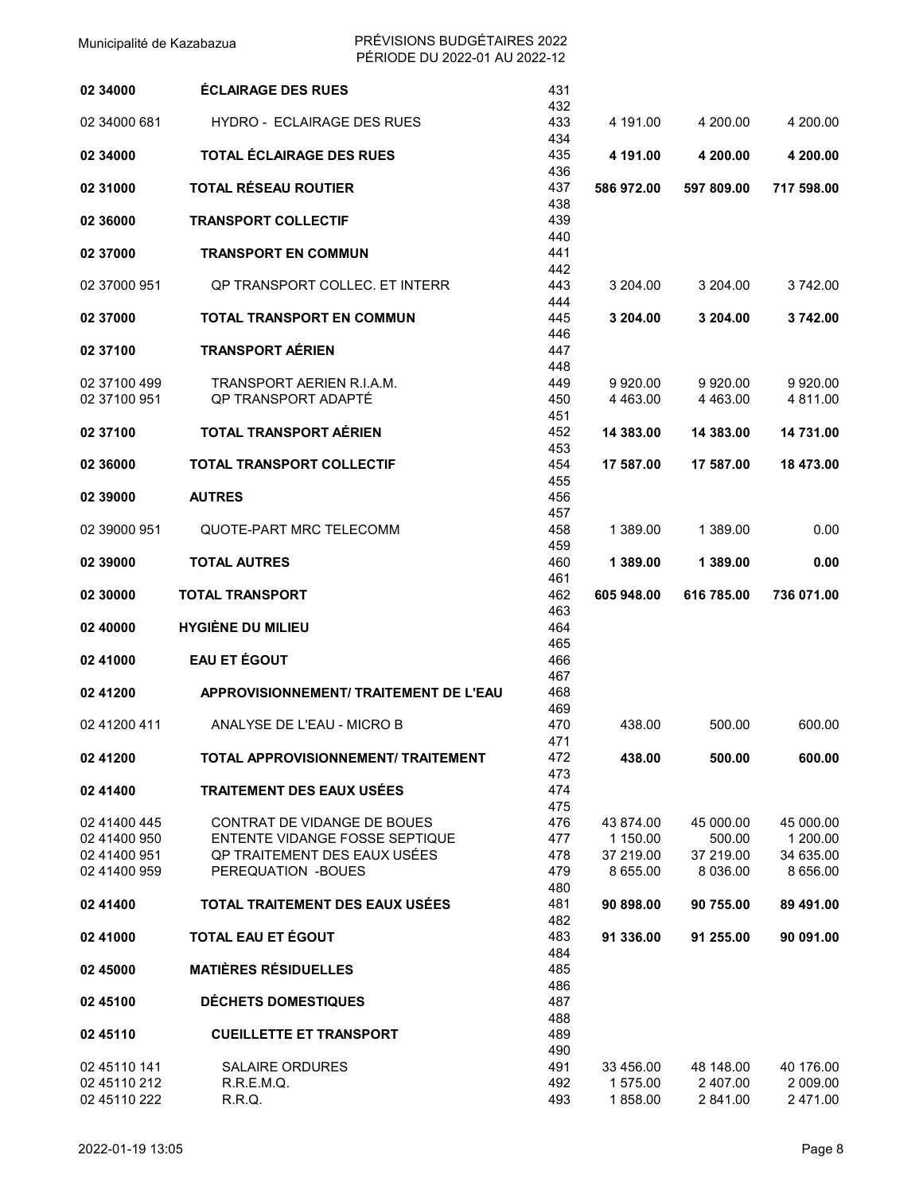| 02 34000     | <b>ÉCLAIRAGE DES RUES</b>              | 431<br>432 |                       |              |            |
|--------------|----------------------------------------|------------|-----------------------|--------------|------------|
| 02 34000 681 | HYDRO - ECLAIRAGE DES RUES             | 433<br>434 | 4 191.00              | 4 200.00     | 4 200.00   |
| 02 34000     | TOTAL ÉCLAIRAGE DES RUES               | 435<br>436 | 4 191.00              | 4 200.00     | 4 200.00   |
| 02 31000     | TOTAL RÉSEAU ROUTIER                   | 437<br>438 | 586 972.00            | 597 809.00   | 717 598.00 |
| 02 36000     | <b>TRANSPORT COLLECTIF</b>             | 439<br>440 |                       |              |            |
| 02 37000     | <b>TRANSPORT EN COMMUN</b>             | 441<br>442 |                       |              |            |
| 02 37000 951 | OP TRANSPORT COLLEC. ET INTERR         | 443<br>444 | 3 204.00              | 3 204.00     | 3742.00    |
| 02 37000     | <b>TOTAL TRANSPORT EN COMMUN</b>       | 445<br>446 | 3 204.00              | 3 204.00     | 3742.00    |
| 02 37100     | <b>TRANSPORT AÉRIEN</b>                | 447<br>448 |                       |              |            |
| 02 37100 499 | TRANSPORT AERIEN R.I.A.M.              | 449        | 9920.00               | 9 9 20 00    | 9 9 20.00  |
|              |                                        |            |                       |              |            |
| 02 37100 951 | OP TRANSPORT ADAPTÉ                    | 450<br>451 | 4 4 6 3 .00           | 4 4 6 3 .0 0 | 4 811.00   |
| 02 37100     | <b>TOTAL TRANSPORT AÉRIEN</b>          | 452        | 14 383.00             | 14 383.00    | 14 731.00  |
| 02 36000     | <b>TOTAL TRANSPORT COLLECTIF</b>       | 453<br>454 | 17 587.00             | 17 587.00    | 18 473.00  |
|              |                                        | 455        |                       |              |            |
| 02 39000     | <b>AUTRES</b>                          | 456        |                       |              |            |
|              |                                        | 457        |                       |              |            |
| 02 39000 951 | QUOTE-PART MRC TELECOMM                | 458<br>459 | 1 389.00              | 1 389.00     | 0.00       |
| 02 39000     | <b>TOTAL AUTRES</b>                    | 460<br>461 | 1 389.00              | 1 389.00     | 0.00       |
| 02 30000     | <b>TOTAL TRANSPORT</b>                 | 462<br>463 | 605 948.00            | 616 785.00   | 736 071.00 |
| 02 40000     | <b>HYGIÈNE DU MILIEU</b>               | 464<br>465 |                       |              |            |
| 02 41000     | <b>EAU ET ÉGOUT</b>                    | 466<br>467 |                       |              |            |
| 02 41200     | APPROVISIONNEMENT/ TRAITEMENT DE L'EAU | 468<br>469 |                       |              |            |
| 02 41200 411 | ANALYSE DE L'EAU - MICRO B             | 470<br>471 | 438.00                | 500.00       | 600.00     |
| 02 41200     | TOTAL APPROVISIONNEMENT/ TRAITEMENT    | 472<br>473 | 438.00                | 500.00       | 600.00     |
| 02 41400     | <b>TRAITEMENT DES EAUX USÉES</b>       | 474        |                       |              |            |
|              |                                        | 475        |                       |              |            |
| 02 41400 445 | CONTRAT DE VIDANGE DE BOUES            | 476        |                       | 45 000.00    | 45 000.00  |
| 02 41400 950 | ENTENTE VIDANGE FOSSE SEPTIQUE         | 477        | 43 874.00<br>1 150.00 | 500.00       | 1 200.00   |
| 02 41400 951 | OP TRAITEMENT DES EAUX USÉES           | 478        | 37 219.00             | 37 219.00    | 34 635.00  |
|              |                                        |            |                       |              |            |
| 02 41400 959 | PEREQUATION -BOUES                     | 479<br>480 | 8 655.00              | 8 0 36 0 0   | 8 656.00   |
| 02 41400     | TOTAL TRAITEMENT DES EAUX USÉES        | 481<br>482 | 90 898.00             | 90 755.00    | 89 491.00  |
| 02 41000     | TOTAL EAU ET ÉGOUT                     | 483        | 91 336.00             | 91 255.00    | 90 091.00  |
| 02 45000     | <b>MATIÈRES RÉSIDUELLES</b>            | 484<br>485 |                       |              |            |
| 02 45100     | <b>DÉCHETS DOMESTIQUES</b>             | 486<br>487 |                       |              |            |
|              |                                        | 488        |                       |              |            |
| 02 45110     | <b>CUEILLETTE ET TRANSPORT</b>         | 489        |                       |              |            |
|              |                                        | 490        |                       |              |            |
| 02 45110 141 | <b>SALAIRE ORDURES</b>                 | 491        | 33 456.00             | 48 148.00    | 40 176.00  |
| 02 45110 212 | R.R.E.M.Q.                             | 492        | 1 575.00              | 2 407.00     | 2 009.00   |
| 02 45110 222 | R.R.Q.                                 | 493        | 1858.00               | 2 841.00     | 2 471.00   |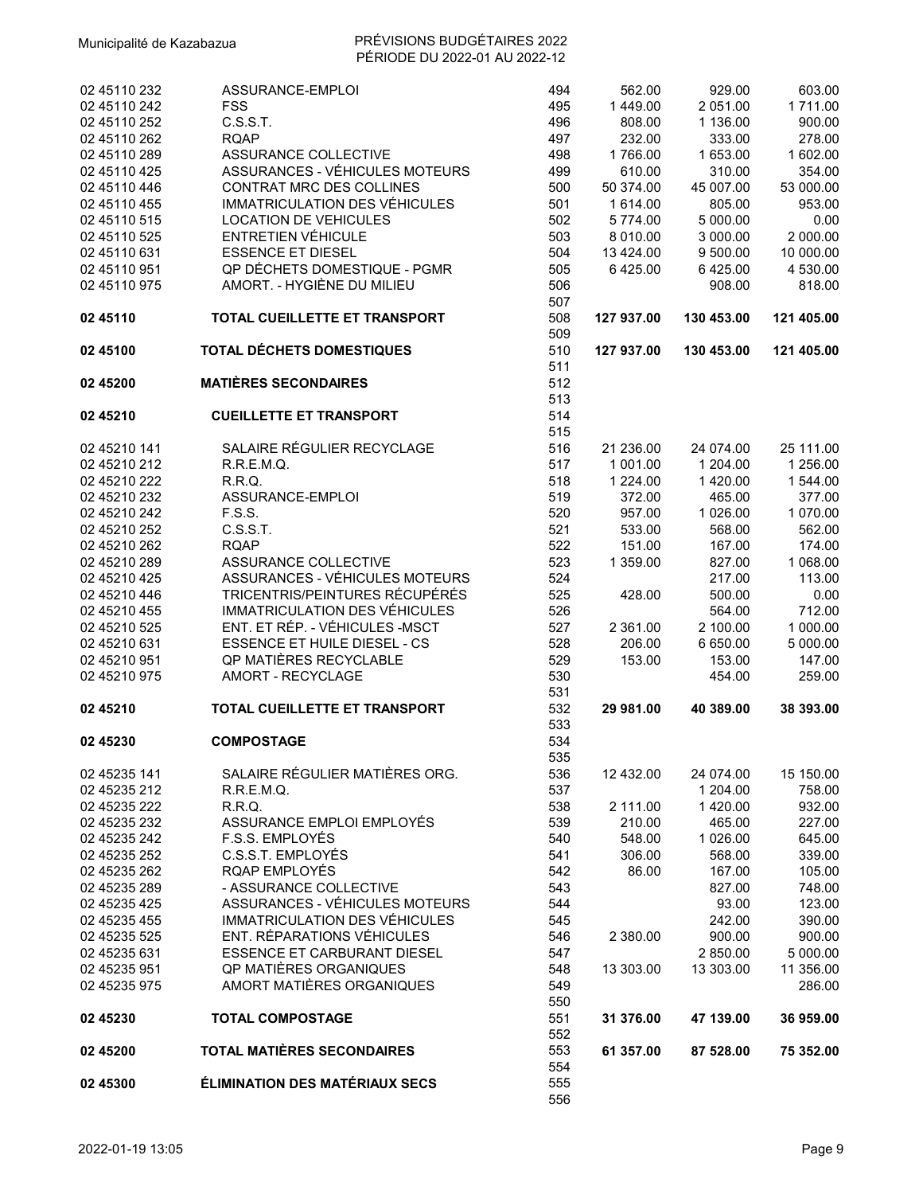| 02 45110 232                 | ASSURANCE-EMPLOI                      | 494        | 562.00           | 929.00              | 603.00           |
|------------------------------|---------------------------------------|------------|------------------|---------------------|------------------|
| 02 45110 242                 | <b>FSS</b>                            | 495        | 1449.00          | 2 051.00            | 1711.00          |
| 02 45110 252                 | C.S.S.T.                              | 496        | 808.00           | 1 136.00            | 900.00           |
| 02 45110 262                 | <b>RQAP</b>                           | 497        | 232.00           | 333.00              | 278.00           |
| 02 45110 289                 | <b>ASSURANCE COLLECTIVE</b>           | 498        | 1766.00          | 1 653.00            | 1 602.00         |
| 02 45110 425                 | ASSURANCES - VÉHICULES MOTEURS        | 499        | 610.00           | 310.00              | 354.00           |
| 02 45110 446                 | CONTRAT MRC DES COLLINES              | 500        | 50 374.00        | 45 007.00           | 53 000.00        |
| 02 45110 455                 | IMMATRICULATION DES VÉHICULES         | 501        | 1 614.00         | 805.00              | 953.00           |
| 02 45110 515                 | <b>LOCATION DE VEHICULES</b>          | 502        | 5774.00          | 5 000.00            | 0.00             |
| 02 45110 525                 | <b>ENTRETIEN VÉHICULE</b>             | 503        | 8 010.00         | 3 000.00            | 2 000.00         |
| 02 45110 631                 | <b>ESSENCE ET DIESEL</b>              | 504        | 13 4 24.00       | 9 500.00            | 10 000.00        |
| 02 45110 951                 | QP DÉCHETS DOMESTIQUE - PGMR          | 505        | 6425.00          | 6425.00             | 4 530.00         |
| 02 45110 975                 | AMORT. - HYGIÈNE DU MILIEU            | 506        |                  | 908.00              | 818.00           |
|                              |                                       | 507        |                  |                     |                  |
| 02 45110                     | TOTAL CUEILLETTE ET TRANSPORT         | 508<br>509 | 127 937.00       | 130 453.00          | 121 405.00       |
| 02 45100                     | TOTAL DÉCHETS DOMESTIQUES             | 510<br>511 | 127 937.00       | 130 453.00          | 121 405.00       |
| 02 45 200                    | <b>MATIÈRES SECONDAIRES</b>           | 512        |                  |                     |                  |
|                              |                                       | 513        |                  |                     |                  |
| 02 45210                     | <b>CUEILLETTE ET TRANSPORT</b>        | 514        |                  |                     |                  |
|                              |                                       | 515        |                  |                     |                  |
| 02 45210 141                 | SALAIRE RÉGULIER RECYCLAGE            | 516        | 21 236.00        | 24 074.00           | 25 111.00        |
| 02 45210 212                 | R.R.E.M.Q.                            | 517        | 1 001.00         | 1 204.00            | 1 256.00         |
| 02 45210 222                 | R.R.Q.                                | 518        | 1 2 2 4 .00      | 1420.00             | 1 544.00         |
|                              | ASSURANCE-EMPLOI                      |            |                  |                     | 377.00           |
| 02 45210 232<br>02 45210 242 | F.S.S.                                | 519<br>520 | 372.00<br>957.00 | 465.00<br>1 0 26.00 | 1 070.00         |
|                              |                                       |            |                  |                     |                  |
| 02 45210 252<br>02 45210 262 | C.S.S.T.<br><b>RQAP</b>               | 521        | 533.00           | 568.00              | 562.00<br>174.00 |
|                              | ASSURANCE COLLECTIVE                  | 522        | 151.00           | 167.00              |                  |
| 02 45210 289                 | ASSURANCES - VÉHICULES MOTEURS        | 523        | 1 359.00         | 827.00              | 1 068.00         |
| 02 45210 425                 | TRICENTRIS/PEINTURES RÉCUPÉRÉS        | 524        |                  | 217.00              | 113.00           |
| 02 45210 446                 |                                       | 525        | 428.00           | 500.00              | 0.00             |
| 02 45210 455                 | IMMATRICULATION DES VÉHICULES         | 526        |                  | 564.00              | 712.00           |
| 02 45210 525                 | ENT. ET RÉP. - VÉHICULES -MSCT        | 527        | 2 361.00         | 2 100.00            | 1 000.00         |
| 02 45210 631                 | <b>ESSENCE ET HUILE DIESEL - CS</b>   | 528        | 206.00           | 6 650.00            | 5 000.00         |
| 02 45210 951                 | QP MATIÈRES RECYCLABLE                | 529        | 153.00           | 153.00              | 147.00           |
| 02 45210 975                 | AMORT - RECYCLAGE                     | 530        |                  | 454.00              | 259.00           |
|                              |                                       | 531        |                  |                     |                  |
| 02 45210                     | <b>TOTAL CUEILLETTE ET TRANSPORT</b>  | 532        | 29 981.00        | 40 389.00           | 38 393.00        |
|                              |                                       | 533        |                  |                     |                  |
| 02 45230                     | <b>COMPOSTAGE</b>                     | 534        |                  |                     |                  |
|                              |                                       | 535        |                  |                     |                  |
| 02 45235 141                 | SALAIRE RÉGULIER MATIÈRES ORG.        | 536        | 12 432.00        | 24 074.00           | 15 150.00        |
| 02 45235 212                 | R.R.E.M.Q.                            | 537        |                  | 1 204.00            | 758.00           |
| 02 45235 222                 | R.R.Q.                                | 538        | 2 111.00         | 1 420.00            | 932.00           |
| 02 45235 232                 | ASSURANCE EMPLOI EMPLOYÉS             | 539        | 210.00           | 465.00              | 227.00           |
| 02 45235 242                 | F.S.S. EMPLOYÉS                       | 540        | 548.00           | 1 0 26.00           | 645.00           |
| 02 45235 252                 | C.S.S.T. EMPLOYÉS                     | 541        | 306.00           | 568.00              | 339.00           |
| 02 45235 262                 | RQAP EMPLOYÉS                         | 542        | 86.00            | 167.00              | 105.00           |
| 02 45235 289                 | - ASSURANCE COLLECTIVE                | 543        |                  | 827.00              | 748.00           |
| 02 45235 425                 | ASSURANCES - VÉHICULES MOTEURS        | 544        |                  | 93.00               | 123.00           |
| 02 45235 455                 | IMMATRICULATION DES VÉHICULES         | 545        |                  | 242.00              | 390.00           |
| 02 45235 525                 | ENT. RÉPARATIONS VÉHICULES            | 546        | 2 380.00         | 900.00              | 900.00           |
| 02 45235 631                 | ESSENCE ET CARBURANT DIESEL           | 547        |                  | 2 850.00            | 5 000.00         |
| 02 45235 951                 | QP MATIÈRES ORGANIQUES                | 548        | 13 303.00        | 13 303.00           | 11 356.00        |
| 02 45235 975                 | AMORT MATIÈRES ORGANIQUES             | 549        |                  |                     | 286.00           |
|                              |                                       | 550        |                  |                     |                  |
| 02 45230                     | <b>TOTAL COMPOSTAGE</b>               | 551        | 31 376.00        | 47 139.00           | 36 959.00        |
|                              |                                       | 552        |                  |                     |                  |
| 02 45200                     | <b>TOTAL MATIÈRES SECONDAIRES</b>     | 553        | 61 357.00        | 87 528.00           | 75 352.00        |
|                              |                                       | 554        |                  |                     |                  |
| 02 45300                     | <b>ÉLIMINATION DES MATÉRIAUX SECS</b> | 555        |                  |                     |                  |
|                              |                                       | 556        |                  |                     |                  |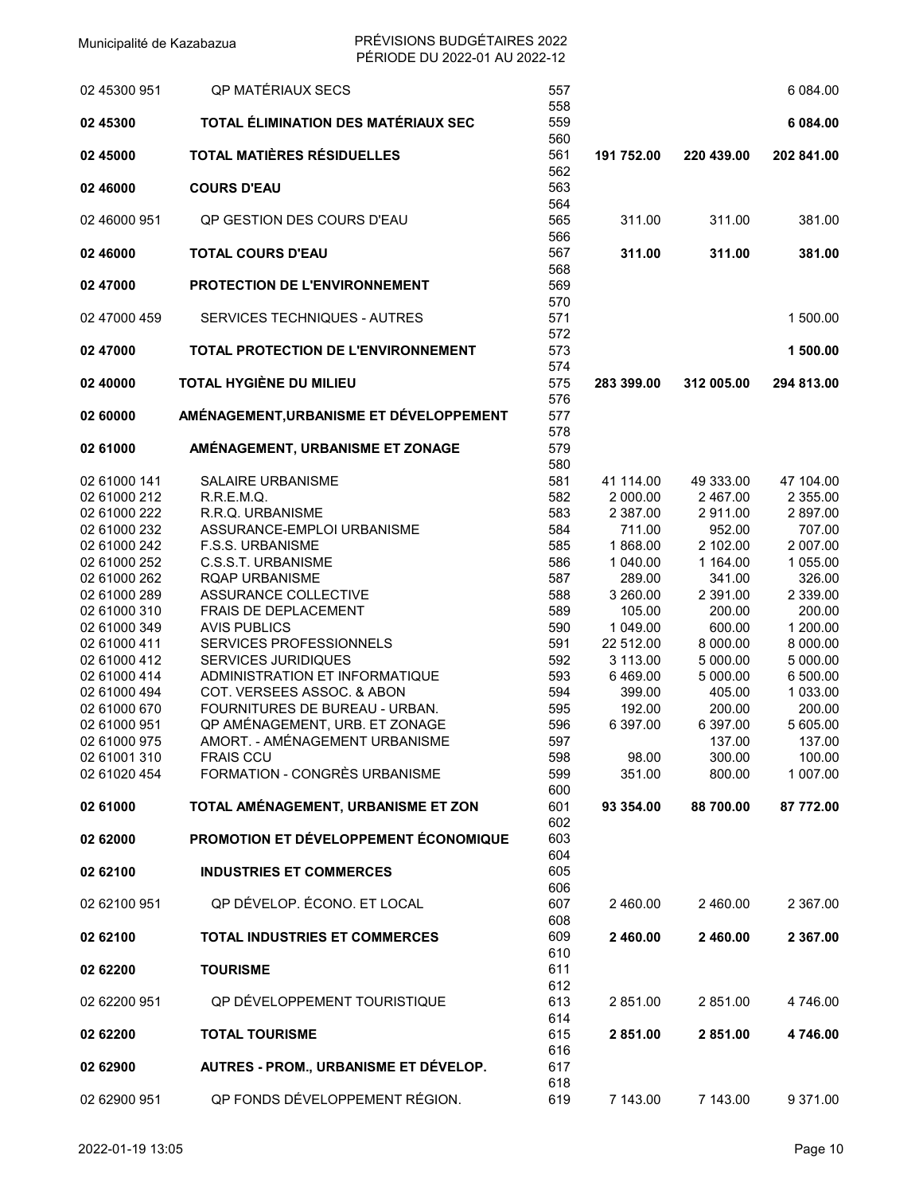| 02 45300 951 | QP MATÉRIAUX SECS                          | 557               |            |            | 6 084.00   |
|--------------|--------------------------------------------|-------------------|------------|------------|------------|
| 02 45300     | TOTAL ÉLIMINATION DES MATÉRIAUX SEC        | 558<br>559        |            |            | 6 084.00   |
| 02 45000     | <b>TOTAL MATIÈRES RÉSIDUELLES</b>          | 560<br>561<br>562 | 191 752.00 | 220 439.00 | 202 841.00 |
| 02 46000     | <b>COURS D'EAU</b>                         | 563<br>564        |            |            |            |
| 02 46000 951 | OP GESTION DES COURS D'EAU                 | 565<br>566        | 311.00     | 311.00     | 381.00     |
| 02 46000     | <b>TOTAL COURS D'EAU</b>                   | 567<br>568        | 311.00     | 311.00     | 381.00     |
| 02 47000     | <b>PROTECTION DE L'ENVIRONNEMENT</b>       | 569<br>570        |            |            |            |
| 02 47000 459 | <b>SERVICES TECHNIQUES - AUTRES</b>        | 571<br>572        |            |            | 1 500.00   |
| 02 47000     | <b>TOTAL PROTECTION DE L'ENVIRONNEMENT</b> | 573<br>574        |            |            | 1 500.00   |
| 02 40000     | TOTAL HYGIÈNE DU MILIEU                    | 575<br>576        | 283 399.00 | 312 005.00 | 294 813.00 |
| 02 60000     | AMÉNAGEMENT, URBANISME ET DÉVELOPPEMENT    | 577<br>578        |            |            |            |
| 02 61000     | AMÉNAGEMENT, URBANISME ET ZONAGE           | 579<br>580        |            |            |            |
| 02 61000 141 | <b>SALAIRE URBANISME</b>                   | 581               | 41 114.00  | 49 333.00  | 47 104.00  |
| 02 61000 212 | R.R.E.M.Q.                                 | 582               | 2 000.00   | 2 467.00   | 2 355.00   |
| 02 61000 222 | R.R.Q. URBANISME                           | 583               | 2 387.00   | 2911.00    | 2 897.00   |
| 02 61000 232 | ASSURANCE-EMPLOI URBANISME                 | 584               | 711.00     | 952.00     | 707.00     |
| 02 61000 242 | <b>F.S.S. URBANISME</b>                    | 585               | 1868.00    | 2 102.00   | 2 007.00   |
| 02 61000 252 | C.S.S.T. URBANISME                         | 586               | 1 040.00   | 1 164.00   | 1 055.00   |
| 02 61000 262 | <b>RQAP URBANISME</b>                      | 587               | 289.00     | 341.00     | 326.00     |
| 02 61000 289 | ASSURANCE COLLECTIVE                       | 588               | 3 260.00   | 2 391.00   | 2 339.00   |
| 02 61000 310 | FRAIS DE DEPLACEMENT                       | 589               | 105.00     | 200.00     | 200.00     |
| 02 61000 349 | <b>AVIS PUBLICS</b>                        | 590               | 1 049.00   | 600.00     | 1 200.00   |
| 02 61000 411 | <b>SERVICES PROFESSIONNELS</b>             | 591               | 22 512.00  | 8 000.00   | 8 000.00   |
| 02 61000 412 | <b>SERVICES JURIDIQUES</b>                 | 592               | 3 113.00   | 5 000.00   | 5 000.00   |
| 02 61000 414 | ADMINISTRATION ET INFORMATIQUE             | 593               |            | 5 000.00   | 6 500.00   |
|              |                                            |                   | 6469.00    |            |            |
| 02 61000 494 | COT. VERSEES ASSOC. & ABON                 | 594               | 399.00     | 405.00     | 1 033.00   |
| 02 61000 670 | FOURNITURES DE BUREAU - URBAN.             | 595               | 192.00     | 200.00     | 200.00     |
| 02 61000 951 | QP AMÉNAGEMENT, URB. ET ZONAGE             | 596               | 6 397.00   | 6 397.00   | 5 605.00   |
| 02 61000 975 | AMORT. - AMÉNAGEMENT URBANISME             | 597               |            | 137.00     | 137.00     |
| 02 61001 310 | <b>FRAIS CCU</b>                           | 598               | 98.00      | 300.00     | 100.00     |
| 02 61020 454 | FORMATION - CONGRÈS URBANISME              | 599               | 351.00     | 800.00     | 1 007.00   |
| 02 61000     | TOTAL AMÉNAGEMENT, URBANISME ET ZON        | 600<br>601        | 93 354.00  | 88 700.00  | 87 772.00  |
|              |                                            | 602               |            |            |            |
| 02 62000     | PROMOTION ET DÉVELOPPEMENT ÉCONOMIQUE      | 603               |            |            |            |
|              |                                            | 604               |            |            |            |
| 02 62100     | <b>INDUSTRIES ET COMMERCES</b>             | 605               |            |            |            |
|              |                                            | 606               |            |            |            |
| 02 62100 951 | QP DÉVELOP. ÉCONO. ET LOCAL                | 607               | 2 460.00   | 2 460.00   | 2 367.00   |
|              |                                            | 608               |            |            |            |
| 02 62100     | <b>TOTAL INDUSTRIES ET COMMERCES</b>       | 609               | 2 460.00   | 2 460.00   | 2 367.00   |
|              |                                            | 610               |            |            |            |
| 02 62200     | <b>TOURISME</b>                            | 611               |            |            |            |
|              |                                            | 612               |            |            |            |
| 02 62200 951 | QP DÉVELOPPEMENT TOURISTIQUE               | 613<br>614        | 2 851.00   | 2851.00    | 4 746.00   |
| 02 62200     | <b>TOTAL TOURISME</b>                      | 615<br>616        | 2851.00    | 2851.00    | 4746.00    |
| 02 62900     | AUTRES - PROM., URBANISME ET DÉVELOP.      | 617<br>618        |            |            |            |
| 02 62900 951 | QP FONDS DÉVELOPPEMENT RÉGION.             | 619               | 7 143.00   | 7 143.00   | 9 371.00   |
|              |                                            |                   |            |            |            |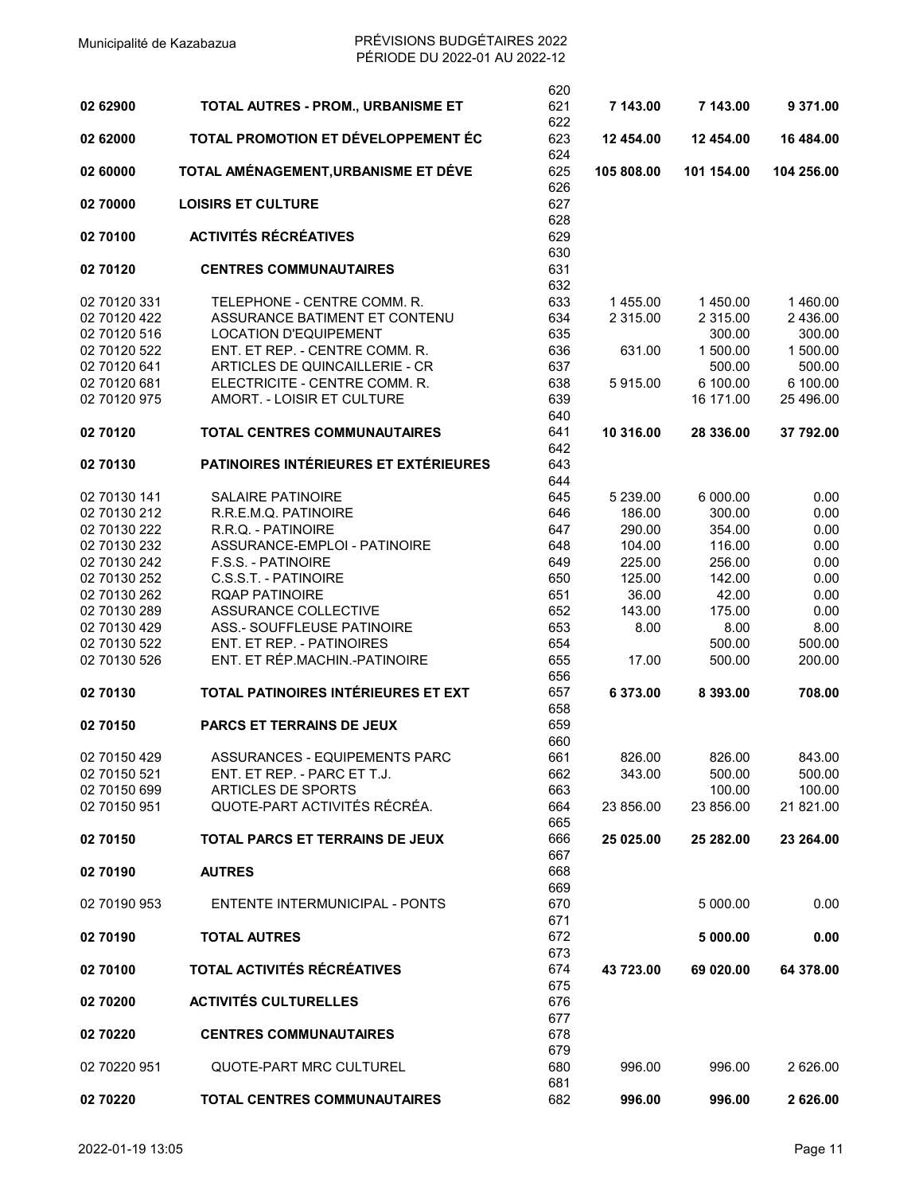|              |                                       | 620               |             |             |            |
|--------------|---------------------------------------|-------------------|-------------|-------------|------------|
| 02 62900     | TOTAL AUTRES - PROM., URBANISME ET    | 621<br>622        | 7 143.00    | 7 143.00    | 9 371.00   |
| 02 62000     | TOTAL PROMOTION ET DÉVELOPPEMENT ÉC   | 623<br>624        | 12 454.00   | 12 454.00   | 16 484.00  |
| 02 60000     | TOTAL AMÉNAGEMENT, URBANISME ET DÉVE  | 625               | 105 808.00  | 101 154.00  | 104 256.00 |
| 02 70000     | <b>LOISIRS ET CULTURE</b>             | 626<br>627<br>628 |             |             |            |
| 02 70100     | <b>ACTIVITÉS RÉCRÉATIVES</b>          | 629               |             |             |            |
| 02 70120     | <b>CENTRES COMMUNAUTAIRES</b>         | 630<br>631<br>632 |             |             |            |
| 02 70120 331 | TELEPHONE - CENTRE COMM. R.           | 633               | 1455.00     | 1450.00     | 1460.00    |
| 02 70120 422 | ASSURANCE BATIMENT ET CONTENU         | 634               | 2 3 1 5 .00 | 2 3 1 5 .00 | 2 436.00   |
| 02 70120 516 | <b>LOCATION D'EQUIPEMENT</b>          | 635               |             | 300.00      | 300.00     |
| 02 70120 522 | ENT. ET REP. - CENTRE COMM. R.        | 636               | 631.00      | 1 500.00    | 1 500.00   |
| 02 70120 641 | ARTICLES DE QUINCAILLERIE - CR        | 637               |             | 500.00      | 500.00     |
| 02 70120 681 | ELECTRICITE - CENTRE COMM. R.         | 638               | 5915.00     | 6 100.00    | 6 100.00   |
| 02 70120 975 | AMORT. - LOISIR ET CULTURE            | 639               |             | 16 171.00   | 25 496.00  |
| 02 70120     | <b>TOTAL CENTRES COMMUNAUTAIRES</b>   | 640<br>641        | 10 316.00   | 28 336.00   | 37 792.00  |
|              |                                       | 642               |             |             |            |
| 02 70130     | PATINOIRES INTÉRIEURES ET EXTÉRIEURES | 643               |             |             |            |
|              |                                       | 644               |             |             |            |
| 02 70130 141 | <b>SALAIRE PATINOIRE</b>              | 645               | 5 239.00    | 6 000.00    | 0.00       |
| 02 70130 212 | R.R.E.M.Q. PATINOIRE                  | 646               | 186.00      | 300.00      | 0.00       |
| 02 70130 222 | R.R.Q. - PATINOIRE                    | 647               | 290.00      | 354.00      | 0.00       |
| 02 70130 232 | ASSURANCE-EMPLOI - PATINOIRE          | 648               | 104.00      | 116.00      | 0.00       |
| 02 70130 242 | <b>F.S.S. - PATINOIRE</b>             | 649               | 225.00      | 256.00      | 0.00       |
| 02 70130 252 | C.S.S.T. - PATINOIRE                  | 650               | 125.00      | 142.00      | 0.00       |
| 02 70130 262 | RQAP PATINOIRE                        | 651               | 36.00       | 42.00       | 0.00       |
| 02 70130 289 | ASSURANCE COLLECTIVE                  | 652               | 143.00      | 175.00      | 0.00       |
| 02 70130 429 | ASS.- SOUFFLEUSE PATINOIRE            | 653               | 8.00        | 8.00        | 8.00       |
| 02 70130 522 | ENT. ET REP. - PATINOIRES             | 654               |             | 500.00      | 500.00     |
| 02 70130 526 | ENT. ET RÉP.MACHIN.-PATINOIRE         | 655               | 17.00       | 500.00      | 200.00     |
|              |                                       | 656               |             |             |            |
| 02 70130     | TOTAL PATINOIRES INTÉRIEURES ET EXT   | 657<br>658        | 6 373.00    | 8 393.00    | 708.00     |
| 02 70150     | <b>PARCS ET TERRAINS DE JEUX</b>      | 659               |             |             |            |
|              |                                       | 660               |             |             |            |
| 02 70150 429 | ASSURANCES - EQUIPEMENTS PARC         | 661               | 826.00      | 826.00      | 843.00     |
| 02 70150 521 | ENT. ET REP. - PARC ET T.J.           | 662               | 343.00      | 500.00      | 500.00     |
| 02 70150 699 | ARTICLES DE SPORTS                    | 663               |             | 100.00      | 100.00     |
| 02 70150 951 | QUOTE-PART ACTIVITÉS RÉCRÉA.          | 664<br>665        | 23 856.00   | 23 856.00   | 21 821.00  |
| 02 70150     | TOTAL PARCS ET TERRAINS DE JEUX       | 666               | 25 025.00   | 25 282.00   | 23 264.00  |
|              |                                       | 667               |             |             |            |
| 02 70190     | <b>AUTRES</b>                         | 668               |             |             |            |
|              |                                       | 669               |             |             |            |
| 02 70190 953 | ENTENTE INTERMUNICIPAL - PONTS        | 670<br>671        |             | 5 000.00    | 0.00       |
| 02 70190     | <b>TOTAL AUTRES</b>                   | 672               |             | 5 000.00    | 0.00       |
| 02 70100     | TOTAL ACTIVITÉS RÉCRÉATIVES           | 673<br>674        | 43 723.00   | 69 020.00   | 64 378.00  |
|              |                                       | 675               |             |             |            |
| 02 70200     | <b>ACTIVITÉS CULTURELLES</b>          | 676<br>677        |             |             |            |
| 02 70220     | <b>CENTRES COMMUNAUTAIRES</b>         | 678               |             |             |            |
| 02 70220 951 | <b>QUOTE-PART MRC CULTUREL</b>        | 679<br>680        | 996.00      | 996.00      | 2 626.00   |
|              |                                       | 681               |             |             |            |
| 02 70220     | TOTAL CENTRES COMMUNAUTAIRES          | 682               | 996.00      | 996.00      | 2 626.00   |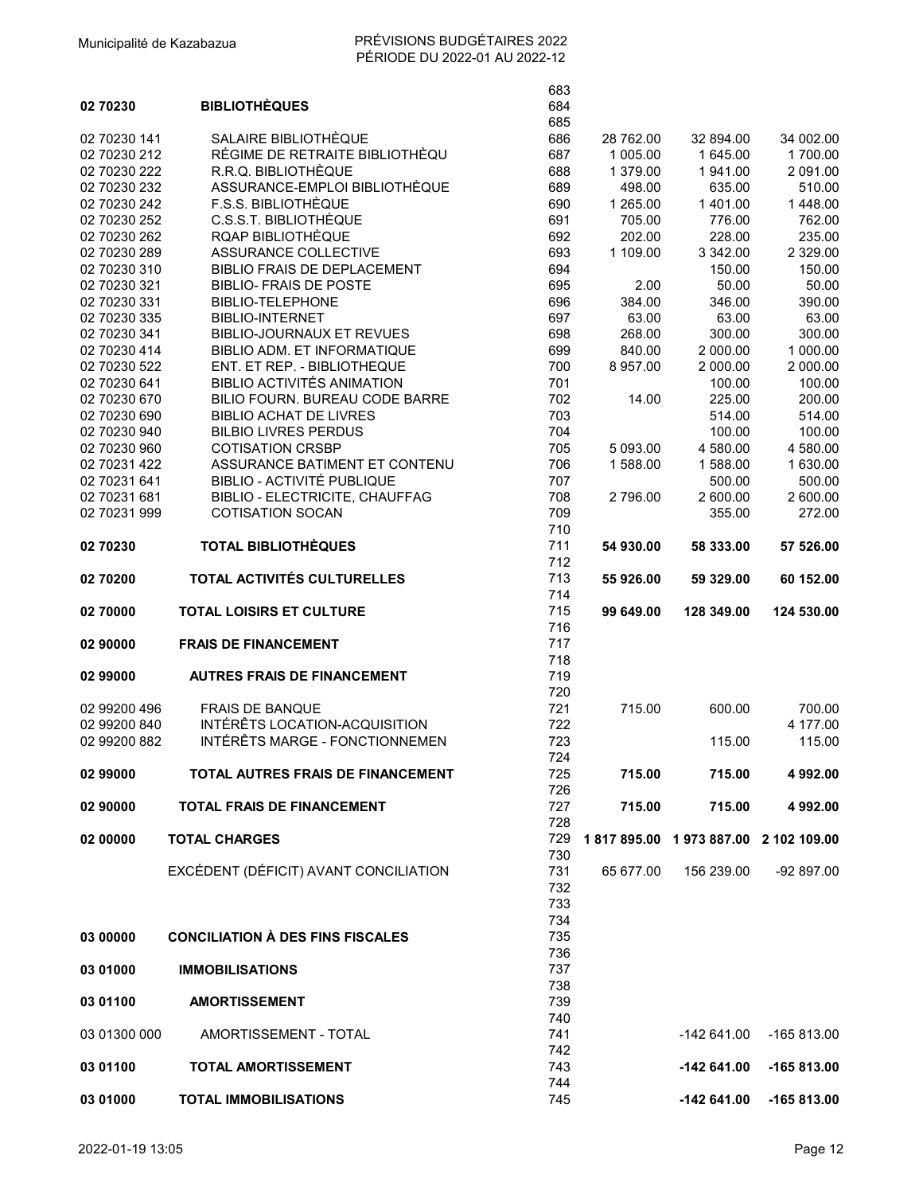|                              |                                                                   | 683        |           |                                  |                         |
|------------------------------|-------------------------------------------------------------------|------------|-----------|----------------------------------|-------------------------|
| 02 70230                     | <b>BIBLIOTHÈQUES</b>                                              | 684        |           |                                  |                         |
| 02 70230 141                 | SALAIRE BIBLIOTHÈQUE                                              | 685<br>686 | 28 762.00 | 32 894.00                        | 34 002.00               |
| 02 70230 212                 | RÉGIME DE RETRAITE BIBLIOTHÈQU                                    | 687        | 1 005.00  | 1 645.00                         | 1700.00                 |
| 02 70230 222                 | R.R.Q. BIBLIOTHÈQUE                                               | 688        | 1 379.00  | 1941.00                          | 2 091.00                |
| 02 70230 232                 | ASSURANCE-EMPLOI BIBLIOTHÈQUE                                     | 689        | 498.00    | 635.00                           | 510.00                  |
| 02 70230 242                 | F.S.S. BIBLIOTHÈQUE                                               | 690        | 1 265.00  | 1 401.00                         | 1448.00                 |
| 02 70230 252                 | C.S.S.T. BIBLIOTHÈQUE                                             | 691        | 705.00    | 776.00                           | 762.00                  |
| 02 70230 262                 | <b>RQAP BIBLIOTHÈQUE</b>                                          | 692        | 202.00    | 228.00                           | 235.00                  |
| 02 70230 289<br>02 70230 310 | <b>ASSURANCE COLLECTIVE</b><br><b>BIBLIO FRAIS DE DEPLACEMENT</b> | 693<br>694 | 1 109.00  | 3 342.00<br>150.00               | 2 3 2 9 . 0 0<br>150.00 |
| 02 70230 321                 | <b>BIBLIO- FRAIS DE POSTE</b>                                     | 695        | 2.00      | 50.00                            | 50.00                   |
| 02 70230 331                 | <b>BIBLIO-TELEPHONE</b>                                           | 696        | 384.00    | 346.00                           | 390.00                  |
| 02 70230 335                 | <b>BIBLIO-INTERNET</b>                                            | 697        | 63.00     | 63.00                            | 63.00                   |
| 02 70230 341                 | <b>BIBLIO-JOURNAUX ET REVUES</b>                                  | 698        | 268.00    | 300.00                           | 300.00                  |
| 02 70230 414                 | BIBLIO ADM. ET INFORMATIQUE                                       | 699        | 840.00    | 2 000.00                         | 1 000.00                |
| 02 70230 522                 | ENT. ET REP. - BIBLIOTHEQUE                                       | 700        | 8 957.00  | 2 000.00                         | 2 000.00                |
| 02 70230 641                 | BIBLIO ACTIVITÉS ANIMATION                                        | 701        |           | 100.00                           | 100.00                  |
| 02 70230 670                 | BILIO FOURN. BUREAU CODE BARRE                                    | 702        | 14.00     | 225.00                           | 200.00                  |
| 02 70230 690<br>02 70230 940 | <b>BIBLIO ACHAT DE LIVRES</b><br><b>BILBIO LIVRES PERDUS</b>      | 703<br>704 |           | 514.00<br>100.00                 | 514.00<br>100.00        |
| 02 70230 960                 | <b>COTISATION CRSBP</b>                                           | 705        | 5 093.00  | 4 580.00                         | 4 580.00                |
| 02 70231 422                 | ASSURANCE BATIMENT ET CONTENU                                     | 706        | 1588.00   | 1588.00                          | 1 630.00                |
| 02 70231 641                 | <b>BIBLIO - ACTIVITÉ PUBLIQUE</b>                                 | 707        |           | 500.00                           | 500.00                  |
| 02 70231 681                 | <b>BIBLIO - ELECTRICITE, CHAUFFAG</b>                             | 708        | 2796.00   | 2 600.00                         | 2 600.00                |
| 02 70231 999                 | <b>COTISATION SOCAN</b>                                           | 709        |           | 355.00                           | 272.00                  |
|                              |                                                                   | 710        |           |                                  |                         |
| 02 70230                     | <b>TOTAL BIBLIOTHÈQUES</b>                                        | 711        | 54 930.00 | 58 333.00                        | 57 526.00               |
|                              |                                                                   | 712        |           |                                  |                         |
| 02 70200                     | TOTAL ACTIVITÉS CULTURELLES                                       | 713<br>714 | 55 926.00 | 59 329.00                        | 60 152.00               |
|                              |                                                                   |            |           |                                  |                         |
|                              |                                                                   |            |           |                                  |                         |
| 02 70000                     | <b>TOTAL LOISIRS ET CULTURE</b>                                   | 715        | 99 649.00 | 128 349.00                       | 124 530.00              |
| 02 90000                     | <b>FRAIS DE FINANCEMENT</b>                                       | 716        |           |                                  |                         |
|                              |                                                                   | 717<br>718 |           |                                  |                         |
| 02 99000                     | <b>AUTRES FRAIS DE FINANCEMENT</b>                                | 719        |           |                                  |                         |
|                              |                                                                   | 720        |           |                                  |                         |
| 02 99200 496                 | <b>FRAIS DE BANQUE</b>                                            | 721        | 715.00    | 600.00                           | 700.00                  |
| 02 99200 840                 | INTÉRÊTS LOCATION-ACQUISITION                                     | 722        |           |                                  | 4 177.00                |
| 02 99200 882                 | INTÉRÊTS MARGE - FONCTIONNEMEN                                    | 723        |           | 115.00                           | 115.00                  |
|                              |                                                                   | 724        |           |                                  |                         |
| 02 99000                     | <b>TOTAL AUTRES FRAIS DE FINANCEMENT</b>                          | 725        | 715.00    | 715.00                           | 4 992.00                |
|                              |                                                                   | 726        |           |                                  |                         |
| 02 90000                     | <b>TOTAL FRAIS DE FINANCEMENT</b>                                 | 727<br>728 | 715.00    | 715.00                           | 4 992.00                |
| 02 00000                     | <b>TOTAL CHARGES</b>                                              | 729        |           | 1817895.00 1973887.00 2102109.00 |                         |
|                              |                                                                   | 730        |           |                                  |                         |
|                              | EXCÉDENT (DÉFICIT) AVANT CONCILIATION                             | 731        | 65 677.00 | 156 239.00                       | -92 897.00              |
|                              |                                                                   | 732        |           |                                  |                         |
|                              |                                                                   | 733        |           |                                  |                         |
|                              |                                                                   | 734        |           |                                  |                         |
| 03 00000                     | <b>CONCILIATION À DES FINS FISCALES</b>                           | 735        |           |                                  |                         |
|                              |                                                                   | 736        |           |                                  |                         |
| 03 01000                     | <b>IMMOBILISATIONS</b>                                            | 737        |           |                                  |                         |
| 03 01100                     | <b>AMORTISSEMENT</b>                                              | 738<br>739 |           |                                  |                         |
|                              |                                                                   | 740        |           |                                  |                         |
| 03 01300 000                 | AMORTISSEMENT - TOTAL                                             | 741        |           | $-142641.00$                     | -165 813.00             |
|                              |                                                                   | 742        |           |                                  |                         |
| 03 01100                     | <b>TOTAL AMORTISSEMENT</b>                                        | 743        |           | -142 641.00                      | $-165813.00$            |
| 03 01000                     | <b>TOTAL IMMOBILISATIONS</b>                                      | 744<br>745 |           | -142 641.00                      | -165 813.00             |